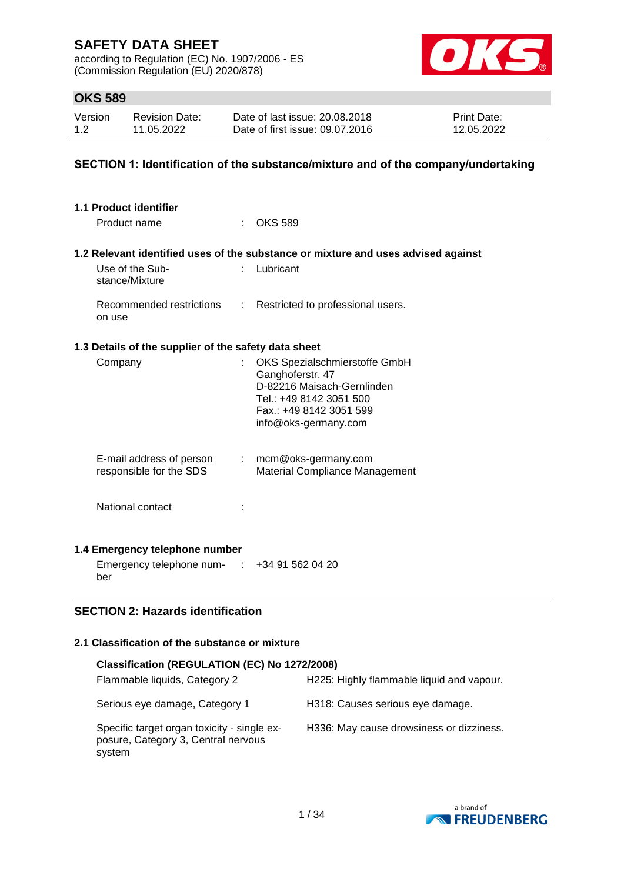according to Regulation (EC) No. 1907/2006 - ES (Commission Regulation (EU) 2020/878)



## **OKS 589**

| Version | <b>Revision Date:</b> | Date of last issue: 20.08.2018  | <b>Print Date:</b> |
|---------|-----------------------|---------------------------------|--------------------|
| 1.2     | 11.05.2022            | Date of first issue: 09.07.2016 | 12.05.2022         |

### **SECTION 1: Identification of the substance/mixture and of the company/undertaking**

| 1.1 Product identifier                               |                                                                                                                                                               |
|------------------------------------------------------|---------------------------------------------------------------------------------------------------------------------------------------------------------------|
| Product name                                         | <b>OKS 589</b>                                                                                                                                                |
|                                                      | 1.2 Relevant identified uses of the substance or mixture and uses advised against                                                                             |
| Use of the Sub-<br>stance/Mixture                    | Lubricant                                                                                                                                                     |
| Recommended restrictions<br>on use                   | : Restricted to professional users.                                                                                                                           |
| 1.3 Details of the supplier of the safety data sheet |                                                                                                                                                               |
| Company                                              | OKS Spezialschmierstoffe GmbH<br>Ganghoferstr. 47<br>D-82216 Maisach-Gernlinden<br>Tel.: +49 8142 3051 500<br>Fax.: +49 8142 3051 599<br>info@oks-germany.com |
| E-mail address of person<br>responsible for the SDS  | $:$ mcm@oks-germany.com<br>Material Compliance Management                                                                                                     |
| National contact                                     |                                                                                                                                                               |
| 1.4 Emergency telephone number                       |                                                                                                                                                               |
| Emergency telephone num-<br>ber                      | $\div$ +34 91 562 04 20                                                                                                                                       |

### **SECTION 2: Hazards identification**

## **2.1 Classification of the substance or mixture**

| Classification (REGULATION (EC) No 1272/2008)                                                |                                           |
|----------------------------------------------------------------------------------------------|-------------------------------------------|
| Flammable liquids, Category 2                                                                | H225: Highly flammable liquid and vapour. |
| Serious eye damage, Category 1                                                               | H318: Causes serious eye damage.          |
| Specific target organ toxicity - single ex-<br>posure, Category 3, Central nervous<br>system | H336: May cause drowsiness or dizziness.  |

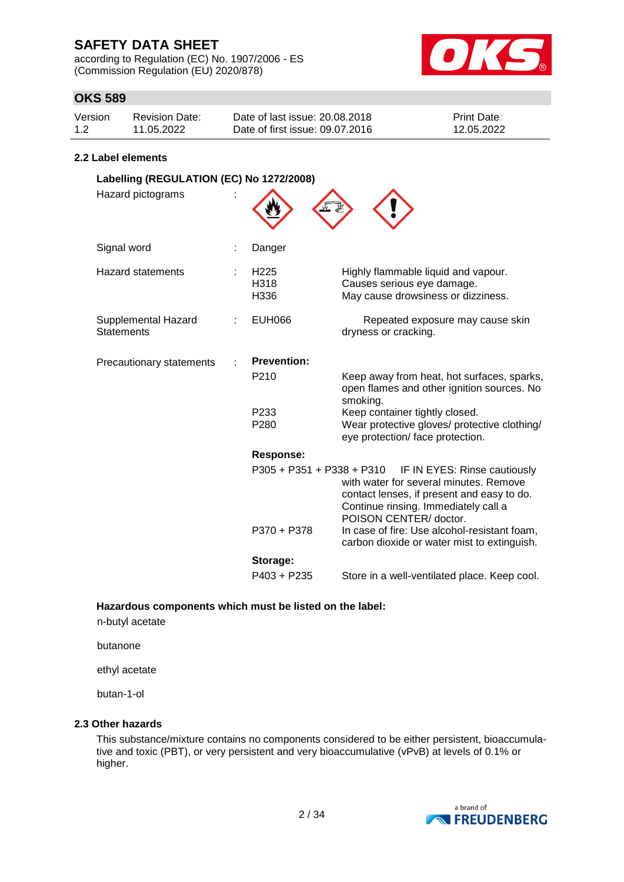according to Regulation (EC) No. 1907/2006 - ES (Commission Regulation (EU) 2020/878)



## **OKS 589**

| Version | Revision Date: | Date of last issue: 20.08.2018  | <b>Print Date:</b> |
|---------|----------------|---------------------------------|--------------------|
| 1.2     | 11.05.2022     | Date of first issue: 09.07.2016 | 12.05.2022         |

### **2.2 Label elements**

| Labelling (REGULATION (EC) No 1272/2008) |                                  |                                                                                                                                                                                        |
|------------------------------------------|----------------------------------|----------------------------------------------------------------------------------------------------------------------------------------------------------------------------------------|
| Hazard pictograms                        |                                  |                                                                                                                                                                                        |
| Signal word                              | Danger                           |                                                                                                                                                                                        |
| <b>Hazard statements</b>                 | H <sub>225</sub><br>H318<br>H336 | Highly flammable liquid and vapour.<br>Causes serious eye damage.<br>May cause drowsiness or dizziness.                                                                                |
| Supplemental Hazard<br><b>Statements</b> | <b>EUH066</b>                    | Repeated exposure may cause skin<br>dryness or cracking.                                                                                                                               |
| Precautionary statements                 | <b>Prevention:</b>               |                                                                                                                                                                                        |
|                                          | P <sub>210</sub>                 | Keep away from heat, hot surfaces, sparks,<br>open flames and other ignition sources. No<br>smoking.                                                                                   |
|                                          | P <sub>233</sub><br>P280         | Keep container tightly closed.<br>Wear protective gloves/ protective clothing/<br>eye protection/ face protection.                                                                     |
|                                          | <b>Response:</b>                 |                                                                                                                                                                                        |
|                                          | $P305 + P351 + P338 + P310$      | IF IN EYES: Rinse cautiously<br>with water for several minutes. Remove<br>contact lenses, if present and easy to do.<br>Continue rinsing. Immediately call a<br>POISON CENTER/ doctor. |
|                                          | P370 + P378                      | In case of fire: Use alcohol-resistant foam,<br>carbon dioxide or water mist to extinguish.                                                                                            |
|                                          | Storage:                         |                                                                                                                                                                                        |
|                                          | P403 + P235                      | Store in a well-ventilated place. Keep cool.                                                                                                                                           |

**Hazardous components which must be listed on the label:**

n-butyl acetate

butanone

ethyl acetate

butan-1-ol

### **2.3 Other hazards**

This substance/mixture contains no components considered to be either persistent, bioaccumulative and toxic (PBT), or very persistent and very bioaccumulative (vPvB) at levels of 0.1% or higher.

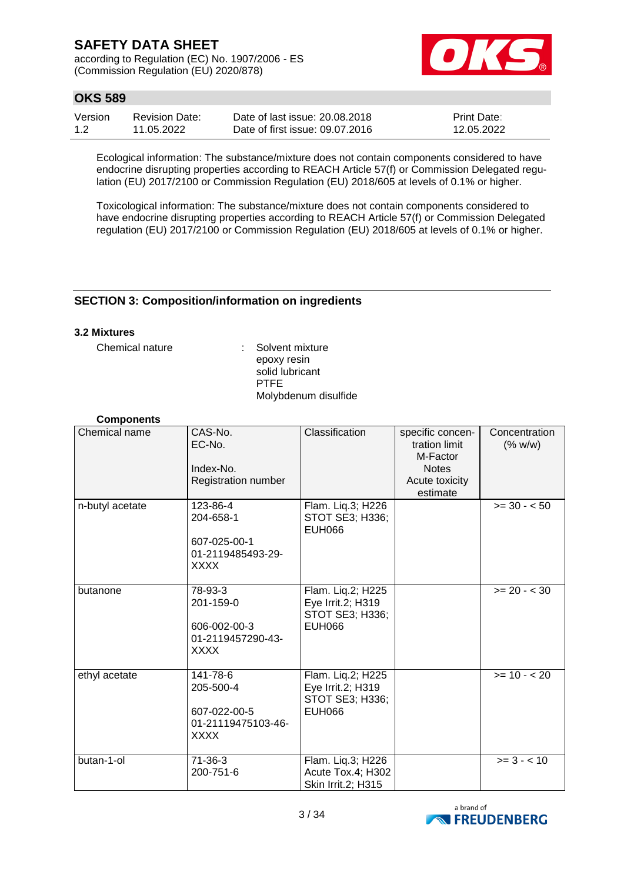according to Regulation (EC) No. 1907/2006 - ES (Commission Regulation (EU) 2020/878)



## **OKS 589**

| Version | <b>Revision Date:</b> | Date of last issue: 20.08.2018  | <b>Print Date:</b> |
|---------|-----------------------|---------------------------------|--------------------|
| 1.2     | 11.05.2022            | Date of first issue: 09.07.2016 | 12.05.2022         |

Ecological information: The substance/mixture does not contain components considered to have endocrine disrupting properties according to REACH Article 57(f) or Commission Delegated regulation (EU) 2017/2100 or Commission Regulation (EU) 2018/605 at levels of 0.1% or higher.

Toxicological information: The substance/mixture does not contain components considered to have endocrine disrupting properties according to REACH Article 57(f) or Commission Delegated regulation (EU) 2017/2100 or Commission Regulation (EU) 2018/605 at levels of 0.1% or higher.

### **SECTION 3: Composition/information on ingredients**

### **3.2 Mixtures**

Chemical nature : Solvent mixture epoxy resin solid lubricant PTFE Molybdenum disulfide

### **Components**

| Chemical name   | CAS-No.<br>EC-No.<br>Index-No.<br>Registration number                      | Classification                                                             | specific concen-<br>tration limit<br>M-Factor<br><b>Notes</b><br>Acute toxicity<br>estimate | Concentration<br>(% w/w) |
|-----------------|----------------------------------------------------------------------------|----------------------------------------------------------------------------|---------------------------------------------------------------------------------------------|--------------------------|
| n-butyl acetate | 123-86-4<br>204-658-1<br>607-025-00-1<br>01-2119485493-29-<br><b>XXXX</b>  | Flam. Liq.3; H226<br>STOT SE3; H336;<br><b>EUH066</b>                      |                                                                                             | $>= 30 - 50$             |
| butanone        | 78-93-3<br>201-159-0<br>606-002-00-3<br>01-2119457290-43-<br><b>XXXX</b>   | Flam. Liq.2; H225<br>Eye Irrit.2; H319<br>STOT SE3; H336;<br><b>EUH066</b> |                                                                                             | $>= 20 - < 30$           |
| ethyl acetate   | 141-78-6<br>205-500-4<br>607-022-00-5<br>01-21119475103-46-<br><b>XXXX</b> | Flam. Liq.2; H225<br>Eye Irrit.2; H319<br>STOT SE3; H336;<br><b>EUH066</b> |                                                                                             | $>= 10 - 20$             |
| butan-1-ol      | 71-36-3<br>200-751-6                                                       | Flam. Liq.3; H226<br>Acute Tox.4; H302<br>Skin Irrit.2; H315               |                                                                                             | $>= 3 - < 10$            |

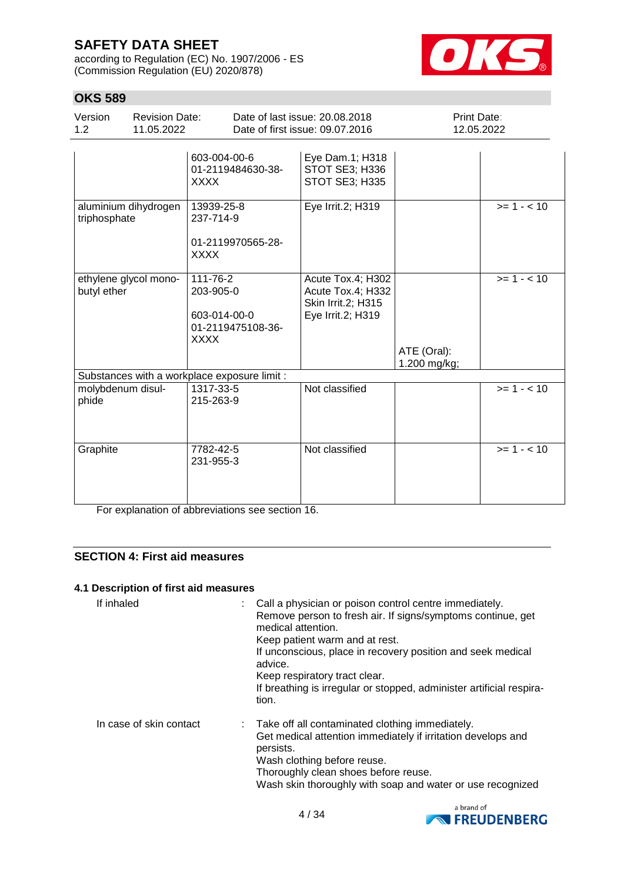according to Regulation (EC) No. 1907/2006 - ES (Commission Regulation (EU) 2020/878)



## **OKS 589**

| Version<br>1.2             | <b>Revision Date:</b><br>11.05.2022 |                                                                           | Date of last issue: 20.08.2018<br>Date of first issue: 09.07.2016                 | <b>Print Date:</b><br>12.05.2022 |             |
|----------------------------|-------------------------------------|---------------------------------------------------------------------------|-----------------------------------------------------------------------------------|----------------------------------|-------------|
|                            |                                     | 603-004-00-6<br>01-2119484630-38-<br><b>XXXX</b>                          | Eye Dam.1; H318<br>STOT SE3; H336<br>STOT SE3; H335                               |                                  |             |
| triphosphate               | aluminium dihydrogen                | 13939-25-8<br>237-714-9<br>01-2119970565-28-<br><b>XXXX</b>               | Eye Irrit.2; H319                                                                 |                                  | $>= 1 - 10$ |
| butyl ether                | ethylene glycol mono-               | 111-76-2<br>203-905-0<br>603-014-00-0<br>01-2119475108-36-<br><b>XXXX</b> | Acute Tox.4; H302<br>Acute Tox.4; H332<br>Skin Irrit.2; H315<br>Eye Irrit.2; H319 | ATE (Oral):<br>1.200 mg/kg;      | $>= 1 - 10$ |
|                            |                                     | Substances with a workplace exposure limit :                              |                                                                                   |                                  |             |
| molybdenum disul-<br>phide |                                     | 1317-33-5<br>215-263-9                                                    | Not classified                                                                    |                                  | $>= 1 - 10$ |
| Graphite                   |                                     | 7782-42-5<br>231-955-3                                                    | Not classified                                                                    |                                  | $>= 1 - 10$ |

For explanation of abbreviations see section 16.

### **SECTION 4: First aid measures**

### **4.1 Description of first aid measures**

| If inhaled              | : Call a physician or poison control centre immediately.<br>Remove person to fresh air. If signs/symptoms continue, get<br>medical attention.<br>Keep patient warm and at rest.<br>If unconscious, place in recovery position and seek medical<br>advice.<br>Keep respiratory tract clear.<br>If breathing is irregular or stopped, administer artificial respira-<br>tion. |  |
|-------------------------|-----------------------------------------------------------------------------------------------------------------------------------------------------------------------------------------------------------------------------------------------------------------------------------------------------------------------------------------------------------------------------|--|
| In case of skin contact | : Take off all contaminated clothing immediately.<br>Get medical attention immediately if irritation develops and<br>persists.<br>Wash clothing before reuse.<br>Thoroughly clean shoes before reuse.<br>Wash skin thoroughly with soap and water or use recognized                                                                                                         |  |

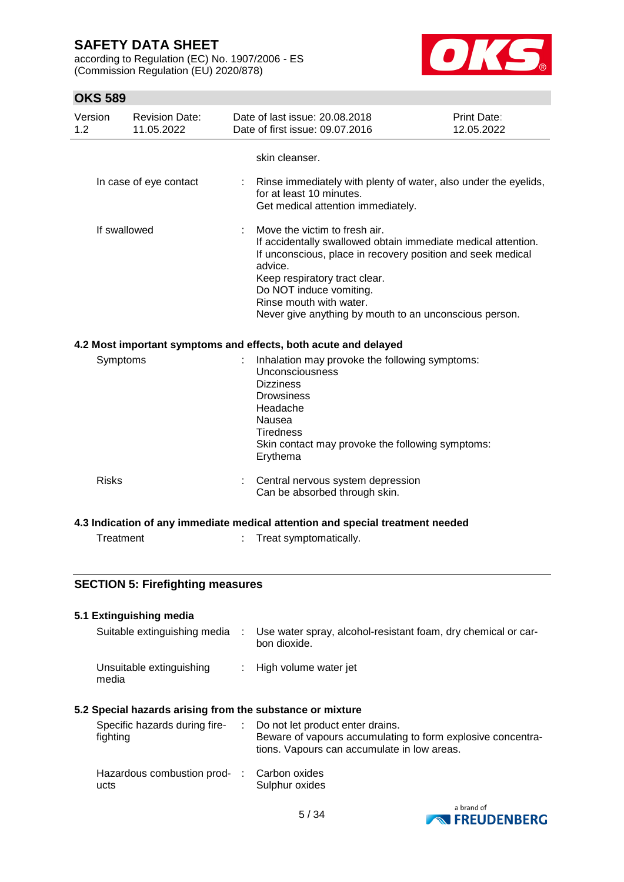according to Regulation (EC) No. 1907/2006 - ES (Commission Regulation (EU) 2020/878)



| Version<br>1.2 |              | <b>Revision Date:</b><br>11.05.2022                                                                                                                                                                                                                                                                                       | Date of last issue: 20.08.2018<br>Date of first issue: 09.07.2016                                                                                                                                                           | <b>Print Date:</b><br>12.05.2022 |
|----------------|--------------|---------------------------------------------------------------------------------------------------------------------------------------------------------------------------------------------------------------------------------------------------------------------------------------------------------------------------|-----------------------------------------------------------------------------------------------------------------------------------------------------------------------------------------------------------------------------|----------------------------------|
|                |              |                                                                                                                                                                                                                                                                                                                           | skin cleanser.                                                                                                                                                                                                              |                                  |
|                |              | In case of eye contact                                                                                                                                                                                                                                                                                                    | Rinse immediately with plenty of water, also under the eyelids,<br>for at least 10 minutes.<br>Get medical attention immediately.                                                                                           |                                  |
| If swallowed   |              | Move the victim to fresh air.<br>If accidentally swallowed obtain immediate medical attention.<br>If unconscious, place in recovery position and seek medical<br>advice.<br>Keep respiratory tract clear.<br>Do NOT induce vomiting.<br>Rinse mouth with water.<br>Never give anything by mouth to an unconscious person. |                                                                                                                                                                                                                             |                                  |
|                |              |                                                                                                                                                                                                                                                                                                                           | 4.2 Most important symptoms and effects, both acute and delayed                                                                                                                                                             |                                  |
|                | Symptoms     |                                                                                                                                                                                                                                                                                                                           | Inhalation may provoke the following symptoms:<br><b>Unconsciousness</b><br><b>Dizziness</b><br><b>Drowsiness</b><br>Headache<br>Nausea<br><b>Tiredness</b><br>Skin contact may provoke the following symptoms:<br>Erythema |                                  |
|                | <b>Risks</b> |                                                                                                                                                                                                                                                                                                                           | Central nervous system depression<br>Can be absorbed through skin.                                                                                                                                                          |                                  |
|                |              |                                                                                                                                                                                                                                                                                                                           | 4.3 Indication of any immediate medical attention and special treatment needed                                                                                                                                              |                                  |
|                | Treatment    |                                                                                                                                                                                                                                                                                                                           | Treat symptomatically.                                                                                                                                                                                                      |                                  |
|                |              | <b>SECTION 5: Firefighting measures</b>                                                                                                                                                                                                                                                                                   |                                                                                                                                                                                                                             |                                  |
|                |              | 5.1 Extinguishing media                                                                                                                                                                                                                                                                                                   |                                                                                                                                                                                                                             |                                  |
|                |              | Suitable extinguishing media                                                                                                                                                                                                                                                                                              | Use water spray, alcohol-resistant foam, dry chemical or car-<br>bon dioxide.                                                                                                                                               |                                  |
|                | media        | Unsuitable extinguishing                                                                                                                                                                                                                                                                                                  | High volume water jet                                                                                                                                                                                                       |                                  |
|                |              |                                                                                                                                                                                                                                                                                                                           | 5.2 Special hazards arising from the substance or mixture                                                                                                                                                                   |                                  |
|                | fighting     | Specific hazards during fire-                                                                                                                                                                                                                                                                                             | Do not let product enter drains.<br>Beware of vapours accumulating to form explosive concentra-<br>tions. Vapours can accumulate in low areas.                                                                              |                                  |
|                | ucts         | Hazardous combustion prod-                                                                                                                                                                                                                                                                                                | Carbon oxides<br>Sulphur oxides                                                                                                                                                                                             |                                  |
|                |              |                                                                                                                                                                                                                                                                                                                           |                                                                                                                                                                                                                             | a brand of                       |

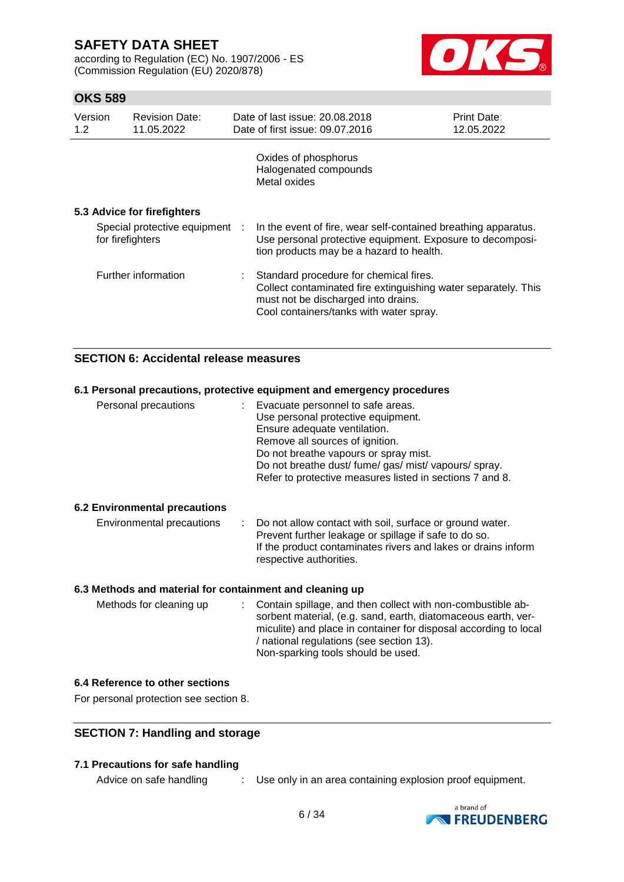according to Regulation (EC) No. 1907/2006 - ES (Commission Regulation (EU) 2020/878)



## **OKS 589**

| Version<br>1.2                                     | <b>Revision Date:</b><br>11.05.2022 | Date of last issue: 20.08.2018<br>Date of first issue: 09.07.2016                                                                                                                          | Print Date:<br>12.05.2022 |
|----------------------------------------------------|-------------------------------------|--------------------------------------------------------------------------------------------------------------------------------------------------------------------------------------------|---------------------------|
|                                                    |                                     | Oxides of phosphorus<br>Halogenated compounds<br>Metal oxides                                                                                                                              |                           |
|                                                    | 5.3 Advice for firefighters         |                                                                                                                                                                                            |                           |
| Special protective equipment :<br>for firefighters |                                     | In the event of fire, wear self-contained breathing apparatus.<br>Use personal protective equipment. Exposure to decomposi-<br>tion products may be a hazard to health.                    |                           |
|                                                    | Further information                 | Standard procedure for chemical fires.<br>Collect contaminated fire extinguishing water separately. This<br>must not be discharged into drains.<br>Cool containers/tanks with water spray. |                           |

### **SECTION 6: Accidental release measures**

### **6.1 Personal precautions, protective equipment and emergency procedures**

| Personal precautions | Evacuate personnel to safe areas.                        |
|----------------------|----------------------------------------------------------|
|                      | Use personal protective equipment.                       |
|                      | Ensure adequate ventilation.                             |
|                      | Remove all sources of ignition.                          |
|                      | Do not breathe vapours or spray mist.                    |
|                      | Do not breathe dust/ fume/ gas/ mist/ vapours/ spray.    |
|                      | Refer to protective measures listed in sections 7 and 8. |
|                      |                                                          |

#### **6.2 Environmental precautions**

| : Do not allow contact with soil, surface or ground water.<br>Environmental precautions<br>Prevent further leakage or spillage if safe to do so.<br>If the product contaminates rivers and lakes or drains inform<br>respective authorities. |
|----------------------------------------------------------------------------------------------------------------------------------------------------------------------------------------------------------------------------------------------|
|----------------------------------------------------------------------------------------------------------------------------------------------------------------------------------------------------------------------------------------------|

### **6.3 Methods and material for containment and cleaning up**

| Methods for cleaning up |  | : Contain spillage, and then collect with non-combustible ab-<br>sorbent material, (e.g. sand, earth, diatomaceous earth, ver-<br>miculite) and place in container for disposal according to local<br>/ national regulations (see section 13).<br>Non-sparking tools should be used. |
|-------------------------|--|--------------------------------------------------------------------------------------------------------------------------------------------------------------------------------------------------------------------------------------------------------------------------------------|
|-------------------------|--|--------------------------------------------------------------------------------------------------------------------------------------------------------------------------------------------------------------------------------------------------------------------------------------|

### **6.4 Reference to other sections**

For personal protection see section 8.

### **SECTION 7: Handling and storage**

### **7.1 Precautions for safe handling**

Advice on safe handling : Use only in an area containing explosion proof equipment.

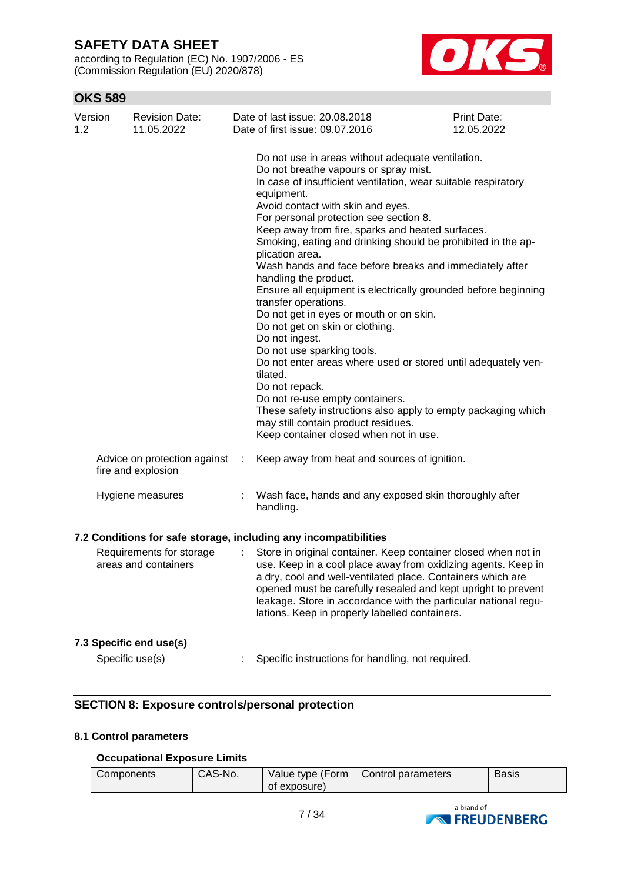according to Regulation (EC) No. 1907/2006 - ES (Commission Regulation (EU) 2020/878)



## **OKS 589**

| Version<br>1.2 | <b>Revision Date:</b><br>11.05.2022                |   | Date of last issue: 20.08.2018<br>Date of first issue: 09.07.2016                                                                                                                                                                                                                                                                                                                                                                                                                                                                                                                                                                                                                                                                                                                                                                                                                                                                                                                                | <b>Print Date:</b><br>12.05.2022 |
|----------------|----------------------------------------------------|---|--------------------------------------------------------------------------------------------------------------------------------------------------------------------------------------------------------------------------------------------------------------------------------------------------------------------------------------------------------------------------------------------------------------------------------------------------------------------------------------------------------------------------------------------------------------------------------------------------------------------------------------------------------------------------------------------------------------------------------------------------------------------------------------------------------------------------------------------------------------------------------------------------------------------------------------------------------------------------------------------------|----------------------------------|
|                |                                                    |   | Do not use in areas without adequate ventilation.<br>Do not breathe vapours or spray mist.<br>In case of insufficient ventilation, wear suitable respiratory<br>equipment.<br>Avoid contact with skin and eyes.<br>For personal protection see section 8.<br>Keep away from fire, sparks and heated surfaces.<br>Smoking, eating and drinking should be prohibited in the ap-<br>plication area.<br>Wash hands and face before breaks and immediately after<br>handling the product.<br>Ensure all equipment is electrically grounded before beginning<br>transfer operations.<br>Do not get in eyes or mouth or on skin.<br>Do not get on skin or clothing.<br>Do not ingest.<br>Do not use sparking tools.<br>Do not enter areas where used or stored until adequately ven-<br>tilated.<br>Do not repack.<br>Do not re-use empty containers.<br>These safety instructions also apply to empty packaging which<br>may still contain product residues.<br>Keep container closed when not in use. |                                  |
|                | Advice on protection against<br>fire and explosion | ÷ | Keep away from heat and sources of ignition.                                                                                                                                                                                                                                                                                                                                                                                                                                                                                                                                                                                                                                                                                                                                                                                                                                                                                                                                                     |                                  |
|                | Hygiene measures                                   |   | Wash face, hands and any exposed skin thoroughly after<br>handling.                                                                                                                                                                                                                                                                                                                                                                                                                                                                                                                                                                                                                                                                                                                                                                                                                                                                                                                              |                                  |
|                |                                                    |   | 7.2 Conditions for safe storage, including any incompatibilities                                                                                                                                                                                                                                                                                                                                                                                                                                                                                                                                                                                                                                                                                                                                                                                                                                                                                                                                 |                                  |
|                | Requirements for storage<br>areas and containers   | ÷ | Store in original container. Keep container closed when not in<br>use. Keep in a cool place away from oxidizing agents. Keep in<br>a dry, cool and well-ventilated place. Containers which are<br>opened must be carefully resealed and kept upright to prevent<br>leakage. Store in accordance with the particular national regu-<br>lations. Keep in properly labelled containers.                                                                                                                                                                                                                                                                                                                                                                                                                                                                                                                                                                                                             |                                  |
|                | 7.3 Specific end use(s)                            |   |                                                                                                                                                                                                                                                                                                                                                                                                                                                                                                                                                                                                                                                                                                                                                                                                                                                                                                                                                                                                  |                                  |
|                | Specific use(s)                                    |   | Specific instructions for handling, not required.                                                                                                                                                                                                                                                                                                                                                                                                                                                                                                                                                                                                                                                                                                                                                                                                                                                                                                                                                |                                  |

## **SECTION 8: Exposure controls/personal protection**

### **8.1 Control parameters**

### **Occupational Exposure Limits**

| CAS-No.<br>Components | Value type (Form<br>of exposure) | Control parameters | <b>Basis</b> |  |
|-----------------------|----------------------------------|--------------------|--------------|--|
|-----------------------|----------------------------------|--------------------|--------------|--|

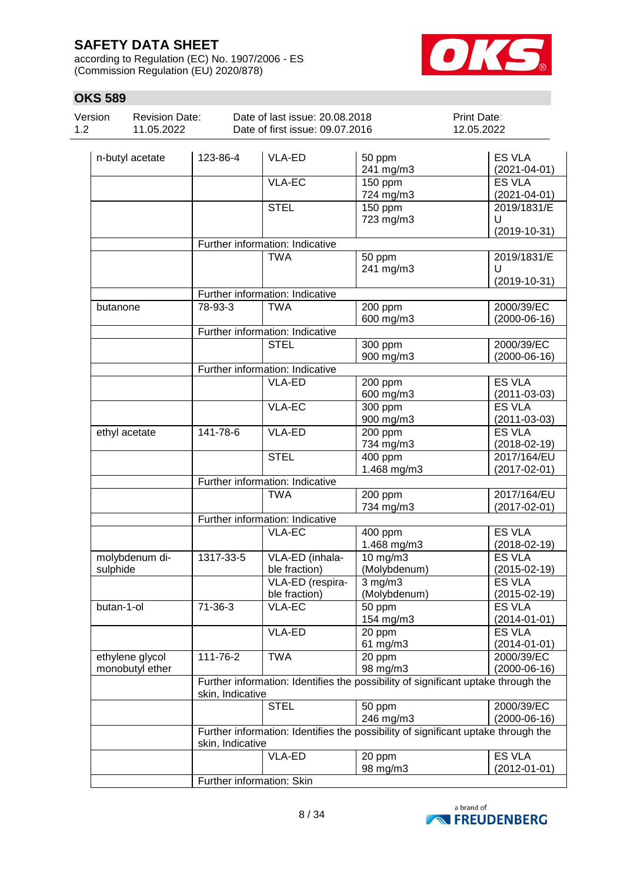according to Regulation (EC) No. 1907/2006 - ES (Commission Regulation (EU) 2020/878)



| <b>OKS 589</b> |                                     |                                 |                                                                   |                      |                                     |  |
|----------------|-------------------------------------|---------------------------------|-------------------------------------------------------------------|----------------------|-------------------------------------|--|
| Version<br>1.2 | <b>Revision Date:</b><br>11.05.2022 |                                 | Date of last issue: 20.08.2018<br>Date of first issue: 09.07.2016 |                      | Print Date:<br>12.05.2022           |  |
|                | n-butyl acetate                     | 123-86-4                        | <b>VLA-ED</b>                                                     | 50 ppm<br>241 mg/m3  | ES VLA<br>$(2021 - 04 - 01)$        |  |
|                |                                     |                                 | <b>VLA-EC</b>                                                     | 150 ppm<br>724 mg/m3 | ES VLA<br>$(2021 - 04 - 01)$        |  |
|                |                                     |                                 | <b>STEL</b>                                                       | 150 ppm<br>723 mg/m3 | 2019/1831/E<br>U<br>$(2019-10-31)$  |  |
|                |                                     | Further information: Indicative |                                                                   |                      |                                     |  |
|                |                                     |                                 | <b>TWA</b>                                                        | 50 ppm<br>241 mg/m3  | 2019/1831/E<br>U<br>$(2019-10-31)$  |  |
|                |                                     | Further information: Indicative |                                                                   |                      |                                     |  |
|                | butanone                            | 78-93-3                         | <b>TWA</b>                                                        | 200 ppm<br>600 mg/m3 | 2000/39/EC<br>$(2000-06-16)$        |  |
|                |                                     | Further information: Indicative |                                                                   |                      |                                     |  |
|                |                                     |                                 | <b>STEL</b>                                                       | 300 ppm<br>900 mg/m3 | 2000/39/EC<br>$(2000-06-16)$        |  |
|                |                                     |                                 | Further information: Indicative                                   |                      |                                     |  |
|                |                                     |                                 | <b>VLA-ED</b>                                                     | 200 ppm<br>600 mg/m3 | <b>ES VLA</b><br>$(2011 - 03 - 03)$ |  |
|                |                                     |                                 | VLA-EC                                                            | 300 ppm<br>900 mg/m3 | <b>ES VLA</b><br>$(2011 - 03 - 03)$ |  |
|                | ethyl acetate                       | 141-78-6                        | VLA-ED                                                            | 200 ppm<br>734 mg/m3 | <b>ES VLA</b><br>$(2018 - 02 - 19)$ |  |

|                 |                           | <b>VLA-EC</b>                   | 300 ppm                                                                           | <b>ES VLA</b>      |
|-----------------|---------------------------|---------------------------------|-----------------------------------------------------------------------------------|--------------------|
|                 |                           |                                 | 900 mg/m3                                                                         | $(2011 - 03 - 03)$ |
| ethyl acetate   | 141-78-6                  | VLA-ED                          | 200 ppm                                                                           | <b>ES VLA</b>      |
|                 |                           |                                 | 734 mg/m3                                                                         | $(2018-02-19)$     |
|                 |                           | <b>STEL</b>                     | 400 ppm                                                                           | 2017/164/EU        |
|                 |                           |                                 | 1.468 mg/m3                                                                       | $(2017 - 02 - 01)$ |
|                 |                           | Further information: Indicative |                                                                                   |                    |
|                 |                           | <b>TWA</b>                      | 200 ppm                                                                           | 2017/164/EU        |
|                 |                           |                                 | 734 mg/m3                                                                         | $(2017 - 02 - 01)$ |
|                 |                           | Further information: Indicative |                                                                                   |                    |
|                 |                           | <b>VLA-EC</b>                   | 400 ppm                                                                           | <b>ES VLA</b>      |
|                 |                           |                                 | 1.468 mg/m3                                                                       | $(2018-02-19)$     |
| molybdenum di-  | 1317-33-5                 | VLA-ED (inhala-                 | 10 mg/m3                                                                          | <b>ES VLA</b>      |
| sulphide        |                           | ble fraction)                   | (Molybdenum)                                                                      | $(2015-02-19)$     |
|                 |                           | VLA-ED (respira-                | $3$ mg/m $3$                                                                      | <b>ES VLA</b>      |
|                 |                           | ble fraction)                   | (Molybdenum)                                                                      | $(2015-02-19)$     |
| $butan-1-0$     | $71 - 36 - 3$             | <b>VLA-EC</b>                   | 50 ppm                                                                            | <b>ES VLA</b>      |
|                 |                           |                                 | 154 mg/m3                                                                         | $(2014 - 01 - 01)$ |
|                 |                           | VLA-ED                          | 20 ppm                                                                            | <b>ES VLA</b>      |
|                 |                           |                                 | 61 mg/m3                                                                          | $(2014 - 01 - 01)$ |
| ethylene glycol | 111-76-2                  | <b>TWA</b>                      | 20 ppm                                                                            | 2000/39/EC         |
| monobutyl ether |                           |                                 | 98 mg/m3                                                                          | $(2000-06-16)$     |
|                 |                           |                                 | Further information: Identifies the possibility of significant uptake through the |                    |
|                 | skin, Indicative          |                                 |                                                                                   |                    |
|                 |                           | <b>STEL</b>                     | 50 ppm                                                                            | 2000/39/EC         |
|                 |                           |                                 | 246 mg/m3                                                                         | $(2000-06-16)$     |
|                 |                           |                                 | Further information: Identifies the possibility of significant uptake through the |                    |
|                 | skin, Indicative          |                                 |                                                                                   |                    |
|                 |                           | VLA-ED                          | 20 ppm                                                                            | <b>ES VLA</b>      |
|                 |                           |                                 | 98 mg/m3                                                                          | $(2012 - 01 - 01)$ |
|                 | Further information: Skin |                                 |                                                                                   |                    |

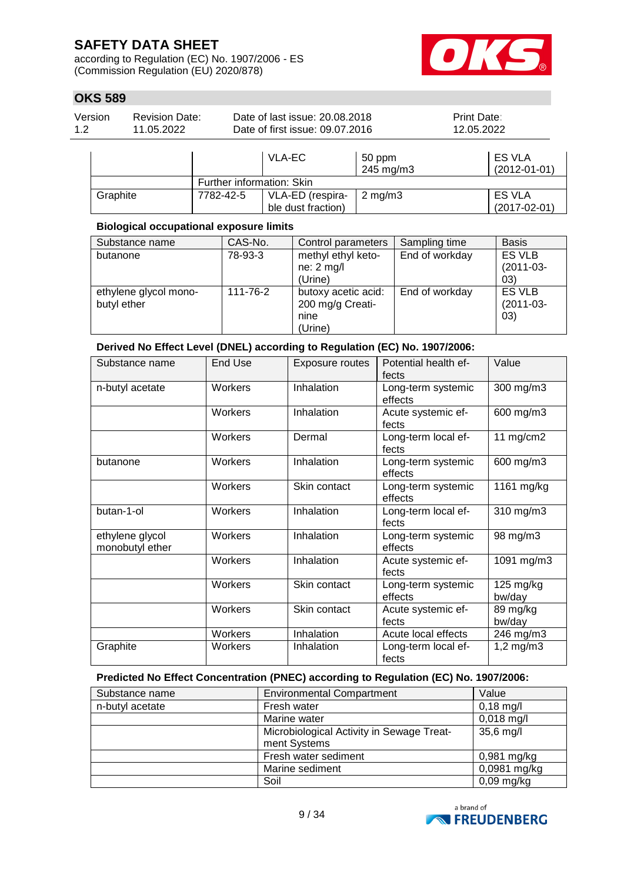according to Regulation (EC) No. 1907/2006 - ES (Commission Regulation (EU) 2020/878)



## **OKS 589**

| Version | <b>Revision Date:</b> | Date of last issue: 20.08.2018  | <b>Print Date:</b> |
|---------|-----------------------|---------------------------------|--------------------|
| 1.2     | 11.05.2022            | Date of first issue: 09.07.2016 | 12.05.2022         |
|         |                       |                                 |                    |

|          |           | VLA-EC                                 | 50 ppm<br>245 mg/m3 | <b>ES VLA</b><br>$(2012 - 01 - 01)$ |  |  |  |
|----------|-----------|----------------------------------------|---------------------|-------------------------------------|--|--|--|
|          |           | Further information: Skin              |                     |                                     |  |  |  |
| Graphite | 7782-42-5 | VLA-ED (respira-<br>ble dust fraction) | $2 \text{ ma/m}$ 3  | <b>ES VLA</b><br>$(2017-02-01)$     |  |  |  |

### **Biological occupational exposure limits**

| Substance name                       | CAS-No.  | Control parameters                                         | Sampling time  | <b>Basis</b>                        |
|--------------------------------------|----------|------------------------------------------------------------|----------------|-------------------------------------|
| butanone                             | 78-93-3  | methyl ethyl keto-<br>$ne: 2$ mg/l<br>(Urine)              | End of workday | <b>ES VLB</b><br>$(2011-03-$<br>03) |
| ethylene glycol mono-<br>butyl ether | 111-76-2 | butoxy acetic acid:<br>200 mg/g Creati-<br>nine<br>(Urine) | End of workday | ES VLB<br>$(2011-03-$<br>(03)       |

**Derived No Effect Level (DNEL) according to Regulation (EC) No. 1907/2006:**

| Substance name                     | End Use | Exposure routes | Potential health ef-<br>fects | Value               |
|------------------------------------|---------|-----------------|-------------------------------|---------------------|
| n-butyl acetate                    | Workers | Inhalation      | Long-term systemic<br>effects | 300 mg/m3           |
|                                    | Workers | Inhalation      | Acute systemic ef-<br>fects   | 600 mg/m3           |
|                                    | Workers | Dermal          | Long-term local ef-<br>fects  | 11 $mg/cm2$         |
| butanone                           | Workers | Inhalation      | Long-term systemic<br>effects | 600 mg/m3           |
|                                    | Workers | Skin contact    | Long-term systemic<br>effects | 1161 mg/kg          |
| butan-1-ol                         | Workers | Inhalation      | Long-term local ef-<br>fects  | 310 mg/m3           |
| ethylene glycol<br>monobutyl ether | Workers | Inhalation      | Long-term systemic<br>effects | 98 mg/m3            |
|                                    | Workers | Inhalation      | Acute systemic ef-<br>fects   | 1091 mg/m3          |
|                                    | Workers | Skin contact    | Long-term systemic<br>effects | 125 mg/kg<br>bw/day |
|                                    | Workers | Skin contact    | Acute systemic ef-<br>fects   | 89 mg/kg<br>bw/day  |
|                                    | Workers | Inhalation      | Acute local effects           | 246 mg/m3           |
| Graphite                           | Workers | Inhalation      | Long-term local ef-<br>fects  | $1,2$ mg/m $3$      |

### **Predicted No Effect Concentration (PNEC) according to Regulation (EC) No. 1907/2006:**

| Substance name  | <b>Environmental Compartment</b>          | Value         |
|-----------------|-------------------------------------------|---------------|
| n-butyl acetate | Fresh water                               | $0,18$ mg/l   |
|                 | Marine water                              | $0,018$ mg/l  |
|                 | Microbiological Activity in Sewage Treat- | 35,6 mg/l     |
|                 | ment Systems                              |               |
|                 | Fresh water sediment                      | $0,981$ mg/kg |
|                 | Marine sediment                           | 0,0981 mg/kg  |
|                 | Soil                                      | $0,09$ mg/kg  |

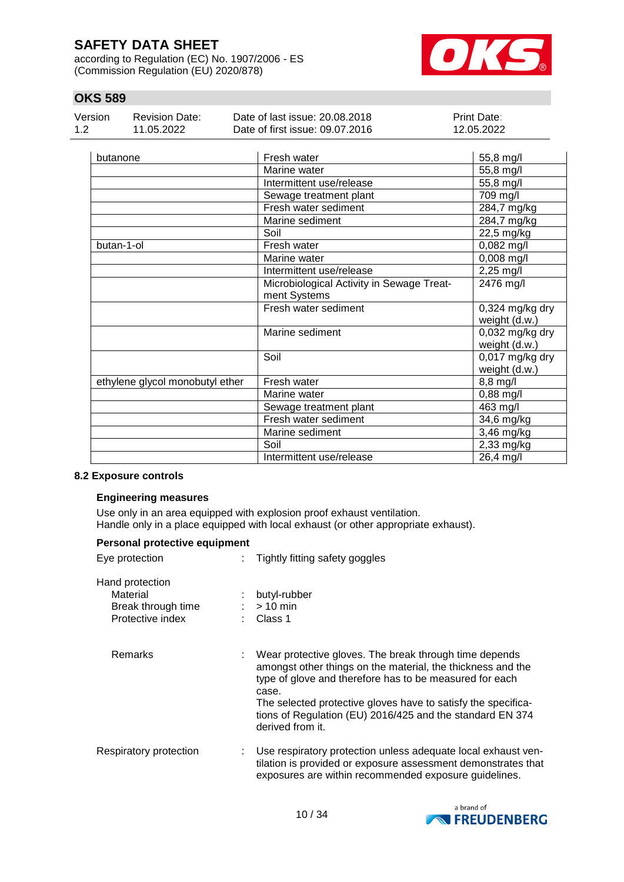according to Regulation (EC) No. 1907/2006 - ES (Commission Regulation (EU) 2020/878)



## **OKS 589**

| Version | Revision Date: | Date of last issue: 20.08.2018  | <b>Print Date:</b> |
|---------|----------------|---------------------------------|--------------------|
| 1.2     | 11.05.2022     | Date of first issue: 09.07.2016 | 12.05.2022         |

| butanone                        | Fresh water                               | 55,8 mg/l                        |
|---------------------------------|-------------------------------------------|----------------------------------|
|                                 | Marine water                              | 55,8 mg/l                        |
|                                 | Intermittent use/release                  | 55,8 mg/l                        |
|                                 | Sewage treatment plant                    | 709 mg/l                         |
|                                 | Fresh water sediment                      | 284,7 mg/kg                      |
|                                 | Marine sediment                           | 284,7 mg/kg                      |
|                                 | Soil                                      | 22,5 mg/kg                       |
| butan-1-ol                      | Fresh water                               | 0,082 mg/l                       |
|                                 | Marine water                              | 0,008 mg/l                       |
|                                 | Intermittent use/release                  | $2,25$ mg/l                      |
|                                 | Microbiological Activity in Sewage Treat- | 2476 mg/l                        |
|                                 | ment Systems                              |                                  |
|                                 | Fresh water sediment                      | $0,324$ mg/kg dry                |
|                                 |                                           | weight (d.w.)                    |
|                                 | Marine sediment                           | 0,032 mg/kg dry                  |
|                                 |                                           | weight (d.w.)                    |
|                                 | Soil                                      | 0,017 mg/kg dry<br>weight (d.w.) |
| ethylene glycol monobutyl ether | Fresh water                               | 8,8 mg/l                         |
|                                 | Marine water                              | $0,88$ mg/l                      |
|                                 | Sewage treatment plant                    | 463 mg/l                         |
|                                 | Fresh water sediment                      | 34,6 mg/kg                       |
|                                 | Marine sediment                           | 3,46 mg/kg                       |
|                                 | Soil                                      | 2,33 mg/kg                       |
|                                 | Intermittent use/release                  | 26,4 mg/l                        |

### **8.2 Exposure controls**

#### **Engineering measures**

Use only in an area equipped with explosion proof exhaust ventilation. Handle only in a place equipped with local exhaust (or other appropriate exhaust).

| Personal protective equipment                                         |                                                                                                                                                                                                                                                                                                                                             |  |  |  |  |  |
|-----------------------------------------------------------------------|---------------------------------------------------------------------------------------------------------------------------------------------------------------------------------------------------------------------------------------------------------------------------------------------------------------------------------------------|--|--|--|--|--|
| Eye protection                                                        | Tightly fitting safety goggles                                                                                                                                                                                                                                                                                                              |  |  |  |  |  |
| Hand protection<br>Material<br>Break through time<br>Protective index | butyl-rubber<br>$:$ > 10 min<br>Class 1                                                                                                                                                                                                                                                                                                     |  |  |  |  |  |
| Remarks                                                               | Wear protective gloves. The break through time depends<br>amongst other things on the material, the thickness and the<br>type of glove and therefore has to be measured for each<br>case.<br>The selected protective gloves have to satisfy the specifica-<br>tions of Regulation (EU) 2016/425 and the standard EN 374<br>derived from it. |  |  |  |  |  |
| Respiratory protection                                                | Use respiratory protection unless adequate local exhaust ven-<br>t.<br>tilation is provided or exposure assessment demonstrates that<br>exposures are within recommended exposure guidelines.                                                                                                                                               |  |  |  |  |  |

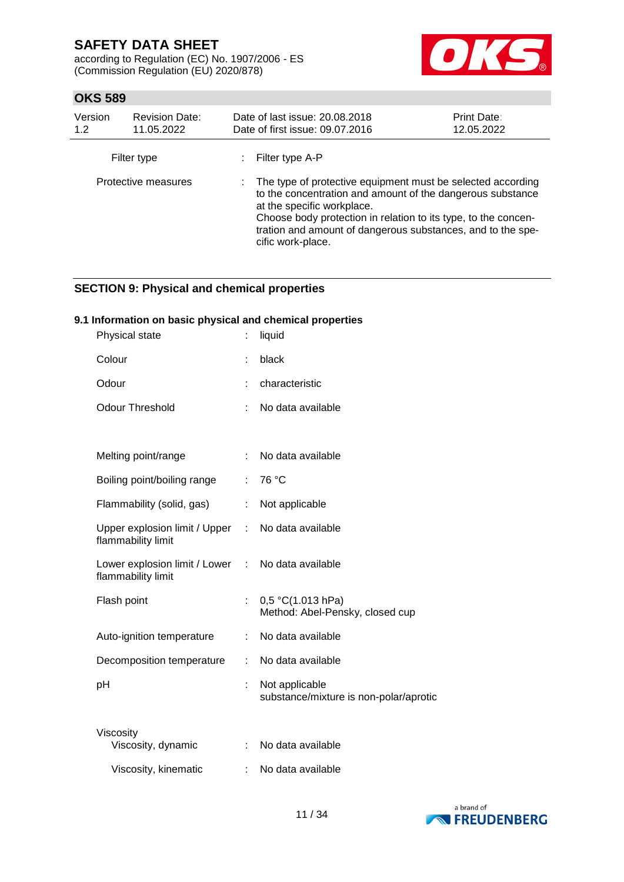according to Regulation (EC) No. 1907/2006 - ES (Commission Regulation (EU) 2020/878)



## **OKS 589**

| Version<br>1.2      | <b>Revision Date:</b><br>11.05.2022 | Date of last issue: 20.08.2018<br>Date of first issue: 09.07.2016                                                                                                                                                                                                                                               | <b>Print Date:</b><br>12.05.2022 |
|---------------------|-------------------------------------|-----------------------------------------------------------------------------------------------------------------------------------------------------------------------------------------------------------------------------------------------------------------------------------------------------------------|----------------------------------|
|                     | Filter type                         | Filter type A-P                                                                                                                                                                                                                                                                                                 |                                  |
| Protective measures |                                     | : The type of protective equipment must be selected according<br>to the concentration and amount of the dangerous substance<br>at the specific workplace.<br>Choose body protection in relation to its type, to the concen-<br>tration and amount of dangerous substances, and to the spe-<br>cific work-place. |                                  |

## **SECTION 9: Physical and chemical properties**

### **9.1 Information on basic physical and chemical properties**

| Physical state                                        |    | liquid                                                   |
|-------------------------------------------------------|----|----------------------------------------------------------|
| Colour                                                |    | black                                                    |
| Odour                                                 |    | characteristic                                           |
| <b>Odour Threshold</b>                                |    | No data available                                        |
|                                                       |    |                                                          |
| Melting point/range                                   | ÷. | No data available                                        |
| Boiling point/boiling range                           | ÷. | 76 °C                                                    |
| Flammability (solid, gas)                             | ÷. | Not applicable                                           |
| Upper explosion limit / Upper :<br>flammability limit |    | No data available                                        |
| Lower explosion limit / Lower<br>flammability limit   |    | : No data available                                      |
| Flash point                                           | ÷. | 0,5 °C(1.013 hPa)<br>Method: Abel-Pensky, closed cup     |
| Auto-ignition temperature                             | ÷. | No data available                                        |
| Decomposition temperature                             | ÷. | No data available                                        |
| рH                                                    | ÷. | Not applicable<br>substance/mixture is non-polar/aprotic |
| Viscosity<br>Viscosity, dynamic                       | ÷. | No data available                                        |
| Viscosity, kinematic                                  |    | No data available                                        |

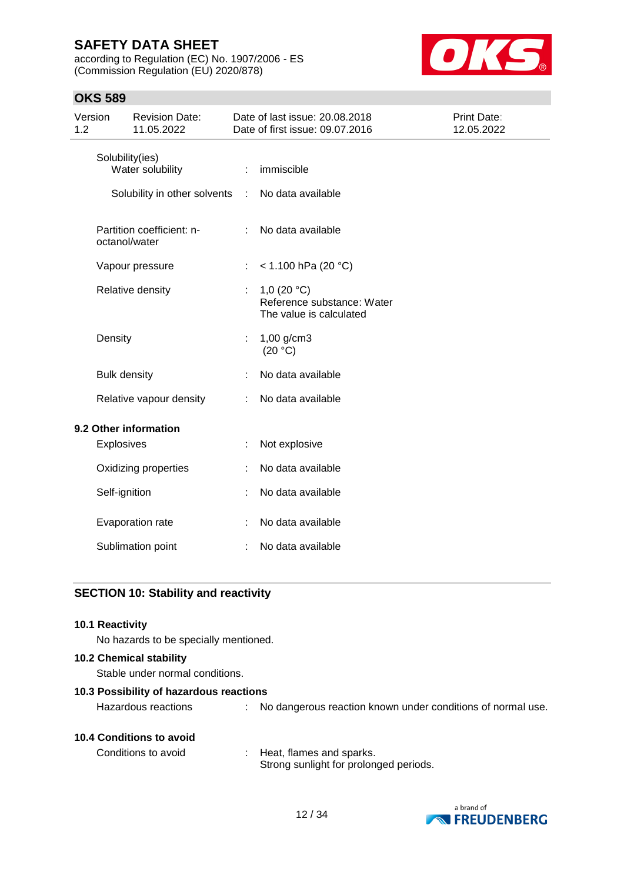according to Regulation (EC) No. 1907/2006 - ES (Commission Regulation (EU) 2020/878)



## **OKS 589**

| Version<br>1.2 |                     | <b>Revision Date:</b><br>11.05.2022        |               | Date of last issue: 20.08.2018<br>Date of first issue: 09.07.2016      | Print Date:<br>12.05.2022 |
|----------------|---------------------|--------------------------------------------|---------------|------------------------------------------------------------------------|---------------------------|
|                |                     | Solubility(ies)<br>Water solubility        |               | immiscible                                                             |                           |
|                |                     | Solubility in other solvents               | $\mathcal{L}$ | No data available                                                      |                           |
|                |                     | Partition coefficient: n-<br>octanol/water |               | No data available                                                      |                           |
|                |                     | Vapour pressure                            | ÷             | $<$ 1.100 hPa (20 °C)                                                  |                           |
|                |                     | Relative density                           |               | 1,0 $(20 °C)$<br>Reference substance: Water<br>The value is calculated |                           |
|                | Density             |                                            |               | $1,00$ g/cm3<br>(20 °C)                                                |                           |
|                | <b>Bulk density</b> |                                            |               | No data available                                                      |                           |
|                |                     | Relative vapour density                    |               | No data available                                                      |                           |
|                |                     | 9.2 Other information                      |               |                                                                        |                           |
|                | Explosives          |                                            |               | Not explosive                                                          |                           |
|                |                     | Oxidizing properties                       |               | No data available                                                      |                           |
|                | Self-ignition       |                                            |               | No data available                                                      |                           |
|                |                     | Evaporation rate                           |               | No data available                                                      |                           |
|                |                     | Sublimation point                          |               | No data available                                                      |                           |

# **SECTION 10: Stability and reactivity**

| <b>10.1 Reactivity</b><br>No hazards to be specially mentioned.   |                                                                      |
|-------------------------------------------------------------------|----------------------------------------------------------------------|
| <b>10.2 Chemical stability</b><br>Stable under normal conditions. |                                                                      |
| 10.3 Possibility of hazardous reactions<br>Hazardous reactions    | : No dangerous reaction known under conditions of normal use.        |
| 10.4 Conditions to avoid<br>Conditions to avoid                   | : Heat, flames and sparks.<br>Strong sunlight for prolonged periods. |

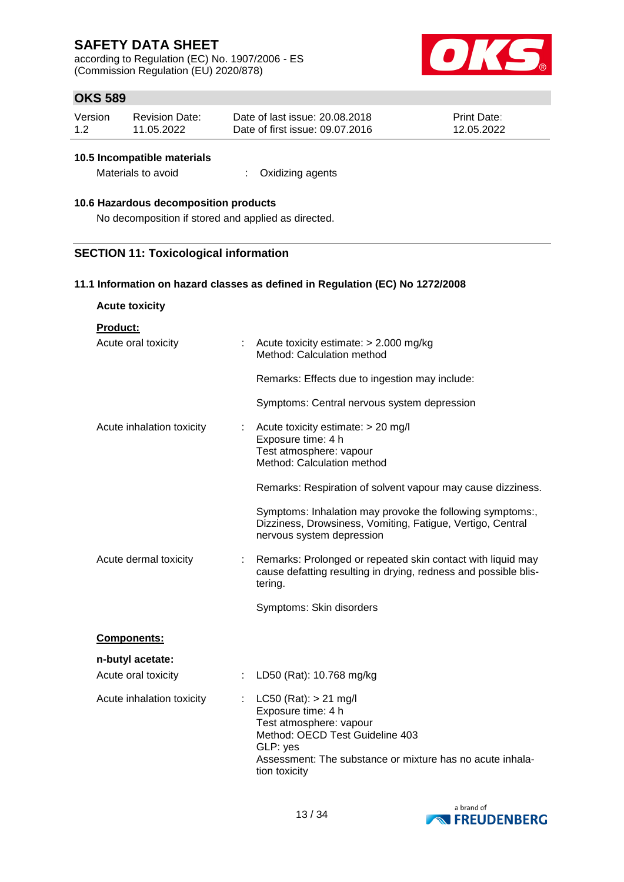according to Regulation (EC) No. 1907/2006 - ES (Commission Regulation (EU) 2020/878)



## **OKS 589**

| Version | <b>Revision Date:</b> | Date of last issue: 20.08.2018  | <b>Print Date:</b> |
|---------|-----------------------|---------------------------------|--------------------|
| 1.2     | 11.05.2022            | Date of first issue: 09.07.2016 | 12.05.2022         |

#### **10.5 Incompatible materials**

| Materials to avoid<br>Oxidizing agents |  |
|----------------------------------------|--|
|----------------------------------------|--|

### **10.6 Hazardous decomposition products**

No decomposition if stored and applied as directed.

### **SECTION 11: Toxicological information**

#### **11.1 Information on hazard classes as defined in Regulation (EC) No 1272/2008**

| <b>Acute toxicity</b> |
|-----------------------|
|                       |

**Product:**

| Acute oral toxicity                              | : Acute toxicity estimate: $> 2.000$ mg/kg<br>Method: Calculation method                                                                                                                                |
|--------------------------------------------------|---------------------------------------------------------------------------------------------------------------------------------------------------------------------------------------------------------|
|                                                  | Remarks: Effects due to ingestion may include:                                                                                                                                                          |
|                                                  | Symptoms: Central nervous system depression                                                                                                                                                             |
| Acute inhalation toxicity                        | Acute toxicity estimate: > 20 mg/l<br>Exposure time: 4 h<br>Test atmosphere: vapour<br>Method: Calculation method                                                                                       |
|                                                  | Remarks: Respiration of solvent vapour may cause dizziness.                                                                                                                                             |
|                                                  | Symptoms: Inhalation may provoke the following symptoms:,<br>Dizziness, Drowsiness, Vomiting, Fatigue, Vertigo, Central<br>nervous system depression                                                    |
| Acute dermal toxicity<br>÷                       | Remarks: Prolonged or repeated skin contact with liquid may<br>cause defatting resulting in drying, redness and possible blis-<br>tering.                                                               |
|                                                  | Symptoms: Skin disorders                                                                                                                                                                                |
| <b>Components:</b>                               |                                                                                                                                                                                                         |
| n-butyl acetate:                                 |                                                                                                                                                                                                         |
| Acute oral toxicity<br>$\mathbb{Z}^{\mathbb{Z}}$ | LD50 (Rat): 10.768 mg/kg                                                                                                                                                                                |
| Acute inhalation toxicity                        | $LC50$ (Rat): $> 21$ mg/l<br>Exposure time: 4 h<br>Test atmosphere: vapour<br>Method: OECD Test Guideline 403<br>GLP: yes<br>Assessment: The substance or mixture has no acute inhala-<br>tion toxicity |

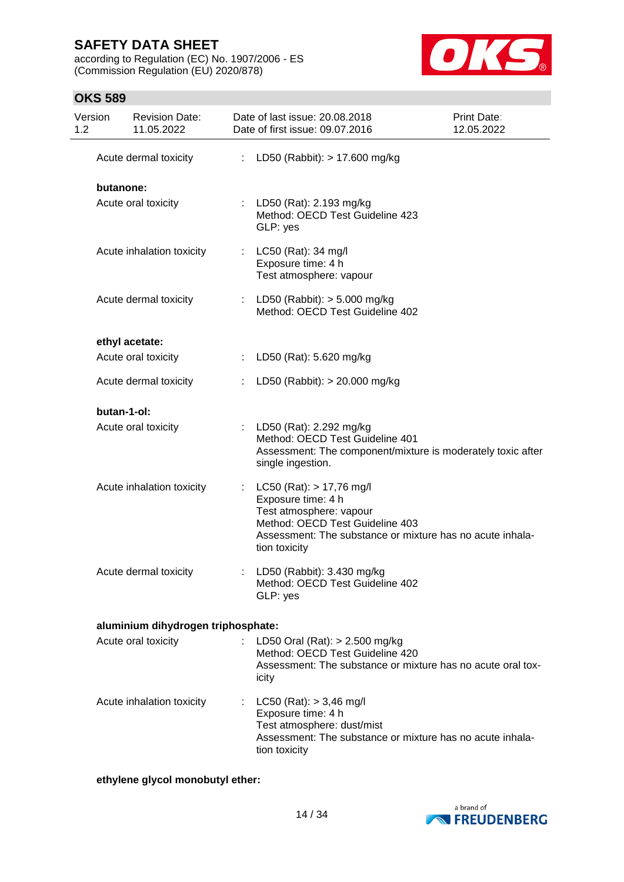**OKS 589**

according to Regulation (EC) No. 1907/2006 - ES (Commission Regulation (EU) 2020/878)



## Version 1.2 Revision Date: 11.05.2022 Date of last issue: 20.08.2018 Date of first issue: 09.07.2016 Print Date: 12.05.2022 Acute dermal toxicity : LD50 (Rabbit): > 17.600 mg/kg **butanone:** Acute oral toxicity : LD50 (Rat): 2.193 mg/kg Method: OECD Test Guideline 423 GLP: yes Acute inhalation toxicity : LC50 (Rat): 34 mg/l Exposure time: 4 h Test atmosphere: vapour Acute dermal toxicity : LD50 (Rabbit): > 5.000 mg/kg Method: OECD Test Guideline 402 **ethyl acetate:** Acute oral toxicity : LD50 (Rat): 5.620 mg/kg Acute dermal toxicity : LD50 (Rabbit): > 20.000 mg/kg **butan-1-ol:** Acute oral toxicity : LD50 (Rat): 2.292 mg/kg Method: OECD Test Guideline 401 Assessment: The component/mixture is moderately toxic after single ingestion. Acute inhalation toxicity : LC50 (Rat): > 17,76 mg/l Exposure time: 4 h Test atmosphere: vapour Method: OECD Test Guideline 403 Assessment: The substance or mixture has no acute inhalation toxicity Acute dermal toxicity : LD50 (Rabbit): 3.430 mg/kg Method: OECD Test Guideline 402 GLP: yes **aluminium dihydrogen triphosphate:** Acute oral toxicity : LD50 Oral (Rat): > 2.500 mg/kg Method: OECD Test Guideline 420 Assessment: The substance or mixture has no acute oral toxicity

Acute inhalation toxicity : LC50 (Rat): > 3,46 mg/l Exposure time: 4 h Test atmosphere: dust/mist Assessment: The substance or mixture has no acute inhalation toxicity

### **ethylene glycol monobutyl ether:**

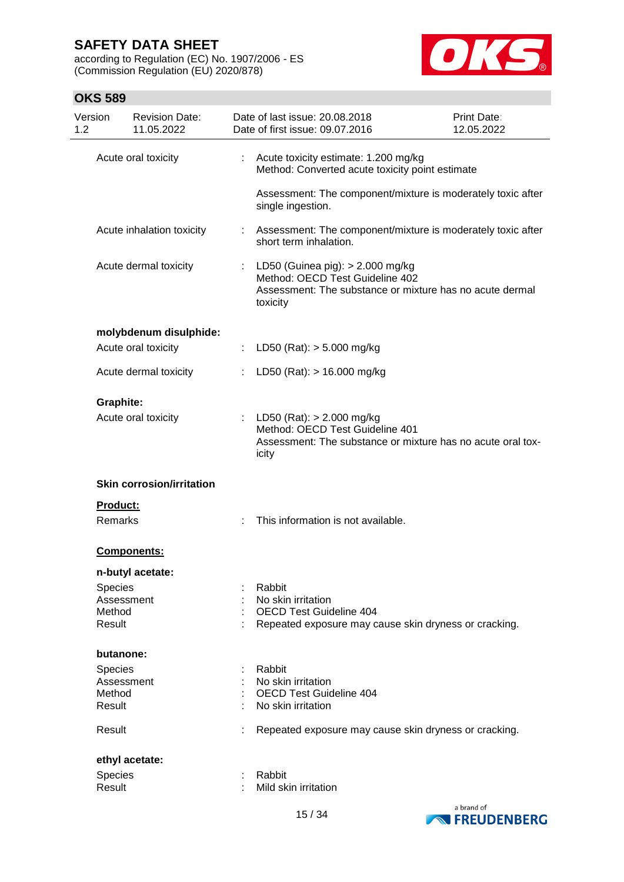according to Regulation (EC) No. 1907/2006 - ES (Commission Regulation (EU) 2020/878)



| Version<br>1.2              | <b>Revision Date:</b><br>11.05.2022 |    | Date of last issue: 20.08.2018<br>Date of first issue: 09.07.2016                                                                             | Print Date:<br>12.05.2022 |
|-----------------------------|-------------------------------------|----|-----------------------------------------------------------------------------------------------------------------------------------------------|---------------------------|
|                             | Acute oral toxicity                 | ÷. | Acute toxicity estimate: 1.200 mg/kg<br>Method: Converted acute toxicity point estimate                                                       |                           |
|                             |                                     |    | Assessment: The component/mixture is moderately toxic after<br>single ingestion.                                                              |                           |
|                             | Acute inhalation toxicity           | ÷. | Assessment: The component/mixture is moderately toxic after<br>short term inhalation.                                                         |                           |
|                             | Acute dermal toxicity               | ÷  | LD50 (Guinea pig): $> 2.000$ mg/kg<br>Method: OECD Test Guideline 402<br>Assessment: The substance or mixture has no acute dermal<br>toxicity |                           |
|                             | molybdenum disulphide:              |    |                                                                                                                                               |                           |
|                             | Acute oral toxicity                 | ÷. | LD50 (Rat): $> 5.000$ mg/kg                                                                                                                   |                           |
|                             | Acute dermal toxicity               |    | LD50 (Rat): $> 16.000$ mg/kg                                                                                                                  |                           |
| <b>Graphite:</b>            | Acute oral toxicity                 |    | LD50 (Rat): $> 2.000$ mg/kg<br>Method: OECD Test Guideline 401<br>Assessment: The substance or mixture has no acute oral tox-<br>icity        |                           |
|                             | <b>Skin corrosion/irritation</b>    |    |                                                                                                                                               |                           |
| Product:<br>Remarks         |                                     |    | This information is not available.                                                                                                            |                           |
|                             | <b>Components:</b>                  |    |                                                                                                                                               |                           |
|                             | n-butyl acetate:                    |    |                                                                                                                                               |                           |
| Species<br>Method<br>Result | Assessment                          |    | Rabbit<br>No skin irritation<br><b>OECD Test Guideline 404</b><br>Repeated exposure may cause skin dryness or cracking.                       |                           |
|                             |                                     |    |                                                                                                                                               |                           |
| butanone:<br>Species        |                                     |    | Rabbit                                                                                                                                        |                           |
|                             | Assessment                          |    | No skin irritation                                                                                                                            |                           |
| Method                      |                                     |    | <b>OECD Test Guideline 404</b>                                                                                                                |                           |
| Result                      |                                     |    | No skin irritation                                                                                                                            |                           |
| Result                      |                                     |    | Repeated exposure may cause skin dryness or cracking.                                                                                         |                           |
|                             | ethyl acetate:                      |    |                                                                                                                                               |                           |
| Species                     |                                     |    | Rabbit                                                                                                                                        |                           |
| Result                      |                                     |    | Mild skin irritation                                                                                                                          |                           |
|                             |                                     |    |                                                                                                                                               | a brand of                |

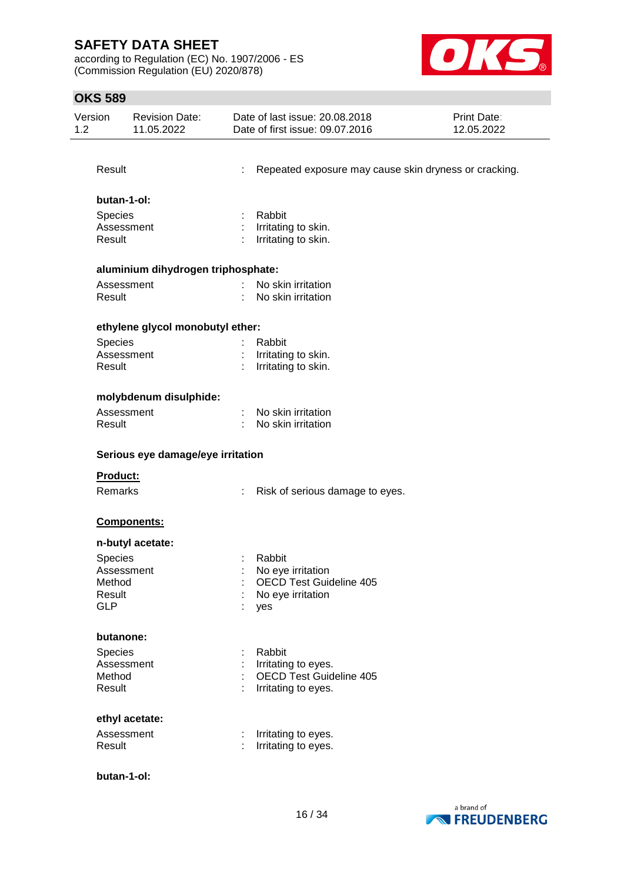according to Regulation (EC) No. 1907/2006 - ES (Commission Regulation (EU) 2020/878)



| Version<br>1.2 |                 | Revision Date:<br>11.05.2022       |                               | Date of last issue: 20.08.2018<br>Date of first issue: 09.07.2016 | <b>Print Date:</b><br>12.05.2022 |
|----------------|-----------------|------------------------------------|-------------------------------|-------------------------------------------------------------------|----------------------------------|
|                |                 |                                    |                               |                                                                   |                                  |
|                | Result          |                                    |                               | Repeated exposure may cause skin dryness or cracking.             |                                  |
|                | butan-1-ol:     |                                    |                               |                                                                   |                                  |
|                | Species         |                                    |                               | Rabbit                                                            |                                  |
|                | Assessment      |                                    |                               | Irritating to skin.                                               |                                  |
|                | Result          |                                    |                               | Irritating to skin.                                               |                                  |
|                |                 | aluminium dihydrogen triphosphate: |                               |                                                                   |                                  |
|                | Assessment      |                                    | $\mathcal{I}^{\mathcal{I}}$ . | No skin irritation                                                |                                  |
|                | Result          |                                    |                               | No skin irritation                                                |                                  |
|                |                 | ethylene glycol monobutyl ether:   |                               |                                                                   |                                  |
|                | Species         |                                    |                               | Rabbit                                                            |                                  |
|                | Assessment      |                                    |                               | Irritating to skin.                                               |                                  |
|                | Result          |                                    |                               | Irritating to skin.                                               |                                  |
|                |                 | molybdenum disulphide:             |                               |                                                                   |                                  |
|                | Assessment      |                                    |                               | No skin irritation                                                |                                  |
|                | Result          |                                    |                               | No skin irritation                                                |                                  |
|                |                 | Serious eye damage/eye irritation  |                               |                                                                   |                                  |
|                | <b>Product:</b> |                                    |                               |                                                                   |                                  |
|                | Remarks         |                                    |                               | Risk of serious damage to eyes.                                   |                                  |
|                |                 | Components:                        |                               |                                                                   |                                  |
|                |                 | n-butyl acetate:                   |                               |                                                                   |                                  |
|                | Species         |                                    |                               | Rabbit                                                            |                                  |
|                | Assessment      |                                    |                               | No eye irritation                                                 |                                  |
|                | Method          |                                    |                               | <b>OECD Test Guideline 405</b>                                    |                                  |
|                | Result          |                                    |                               | No eye irritation                                                 |                                  |
|                | <b>GLP</b>      |                                    |                               | yes                                                               |                                  |
|                | butanone:       |                                    |                               |                                                                   |                                  |
|                | Species         |                                    | t                             | Rabbit                                                            |                                  |
|                | Assessment      |                                    |                               | Irritating to eyes.                                               |                                  |
|                | Method          |                                    |                               | <b>OECD Test Guideline 405</b>                                    |                                  |
|                | Result          |                                    |                               | Irritating to eyes.                                               |                                  |
|                |                 | ethyl acetate:                     |                               |                                                                   |                                  |
|                | Assessment      |                                    | ÷                             | Irritating to eyes.                                               |                                  |
|                | Result          |                                    |                               | Irritating to eyes.                                               |                                  |
|                | butan-1-ol:     |                                    |                               |                                                                   |                                  |

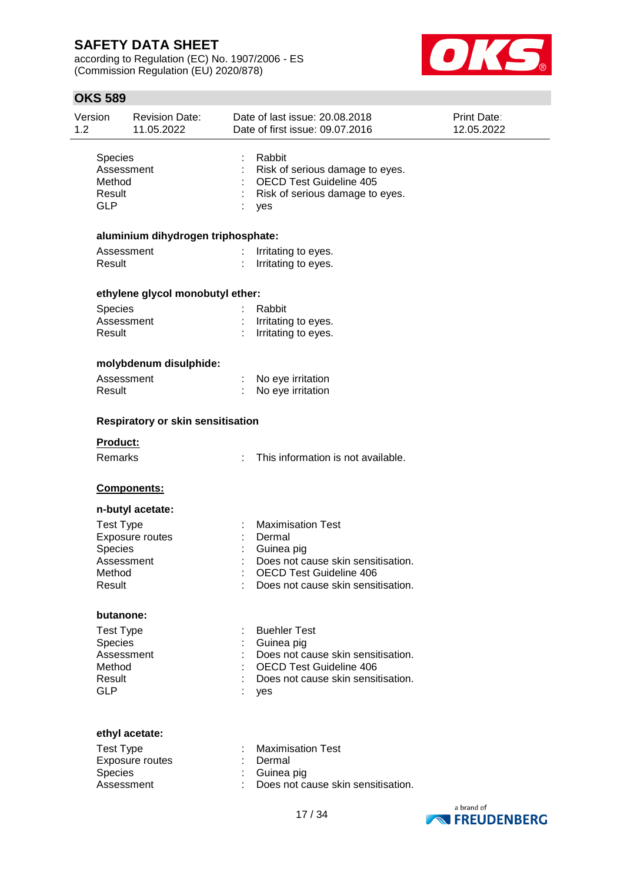according to Regulation (EC) No. 1907/2006 - ES (Commission Regulation (EU) 2020/878)



| 1.2 | Version<br><b>Revision Date:</b><br>11.05.2022                              |                                    | Date of last issue: 20.08.2018<br>Date of first issue: 09.07.2016                                                                                              | Print Date:<br>12.05.2022 |
|-----|-----------------------------------------------------------------------------|------------------------------------|----------------------------------------------------------------------------------------------------------------------------------------------------------------|---------------------------|
|     | Species<br>Assessment<br>Method<br>Result<br><b>GLP</b>                     |                                    | Rabbit<br>Risk of serious damage to eyes.<br><b>OECD Test Guideline 405</b><br>Risk of serious damage to eyes.<br>yes                                          |                           |
|     |                                                                             | aluminium dihydrogen triphosphate: |                                                                                                                                                                |                           |
|     | Assessment<br>Result                                                        |                                    | Irritating to eyes.<br>Irritating to eyes.                                                                                                                     |                           |
|     |                                                                             | ethylene glycol monobutyl ether:   |                                                                                                                                                                |                           |
|     | Species<br>Assessment<br>Result                                             |                                    | Rabbit<br>Irritating to eyes.<br>Irritating to eyes.                                                                                                           |                           |
|     |                                                                             | molybdenum disulphide:             |                                                                                                                                                                |                           |
|     | Assessment<br>Result                                                        |                                    | No eye irritation<br>No eye irritation                                                                                                                         |                           |
|     |                                                                             | Respiratory or skin sensitisation  |                                                                                                                                                                |                           |
|     | Product:                                                                    |                                    |                                                                                                                                                                |                           |
|     | Remarks                                                                     |                                    | This information is not available.                                                                                                                             |                           |
|     |                                                                             | Components:                        |                                                                                                                                                                |                           |
|     |                                                                             | n-butyl acetate:                   |                                                                                                                                                                |                           |
|     | <b>Test Type</b><br>Species<br>Assessment<br>Method<br>Result               | Exposure routes                    | <b>Maximisation Test</b><br>Dermal<br>Guinea pig<br>Does not cause skin sensitisation.<br><b>OECD Test Guideline 406</b><br>Does not cause skin sensitisation. |                           |
|     | butanone:                                                                   |                                    |                                                                                                                                                                |                           |
|     | <b>Test Type</b><br>Species<br>Assessment<br>Method<br>Result<br><b>GLP</b> |                                    | <b>Buehler Test</b><br>Guinea pig<br>Does not cause skin sensitisation.<br><b>OECD Test Guideline 406</b><br>Does not cause skin sensitisation.<br>yes         |                           |
|     |                                                                             |                                    |                                                                                                                                                                |                           |
|     | <b>Test Type</b><br>Species<br>Assessment                                   | ethyl acetate:<br>Exposure routes  | <b>Maximisation Test</b><br>Dermal<br>Guinea pig<br>Does not cause skin sensitisation.                                                                         | hrand of                  |

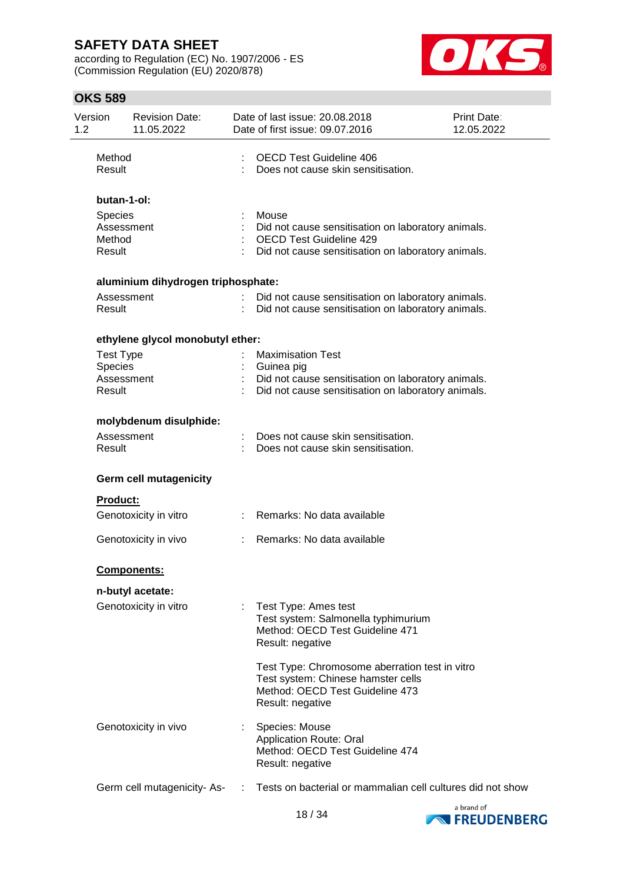according to Regulation (EC) No. 1907/2006 - ES (Commission Regulation (EU) 2020/878)



| 1.2 | Version                                                    | <b>Revision Date:</b><br>11.05.2022 | Date of last issue: 20.08.2018<br>Date of first issue: 09.07.2016                                                                                   | <b>Print Date:</b><br>12.05.2022 |
|-----|------------------------------------------------------------|-------------------------------------|-----------------------------------------------------------------------------------------------------------------------------------------------------|----------------------------------|
|     | Method<br>Result                                           |                                     | <b>OECD Test Guideline 406</b><br>Does not cause skin sensitisation.                                                                                |                                  |
|     | butan-1-ol:<br>Species<br>Assessment<br>Method<br>Result   |                                     | Mouse<br>Did not cause sensitisation on laboratory animals.<br><b>OECD Test Guideline 429</b><br>Did not cause sensitisation on laboratory animals. |                                  |
|     |                                                            | aluminium dihydrogen triphosphate:  |                                                                                                                                                     |                                  |
|     | Assessment<br>Result                                       |                                     | Did not cause sensitisation on laboratory animals.<br>Did not cause sensitisation on laboratory animals.                                            |                                  |
|     |                                                            | ethylene glycol monobutyl ether:    |                                                                                                                                                     |                                  |
|     | <b>Test Type</b><br><b>Species</b><br>Assessment<br>Result |                                     | <b>Maximisation Test</b><br>Guinea pig<br>Did not cause sensitisation on laboratory animals.<br>Did not cause sensitisation on laboratory animals.  |                                  |
|     |                                                            | molybdenum disulphide:              |                                                                                                                                                     |                                  |
|     | Assessment<br>Result                                       |                                     | Does not cause skin sensitisation.<br>Does not cause skin sensitisation.                                                                            |                                  |
|     |                                                            | <b>Germ cell mutagenicity</b>       |                                                                                                                                                     |                                  |
|     | <b>Product:</b>                                            |                                     |                                                                                                                                                     |                                  |
|     |                                                            | Genotoxicity in vitro               | : Remarks: No data available                                                                                                                        |                                  |
|     |                                                            | Genotoxicity in vivo                | Remarks: No data available                                                                                                                          |                                  |
|     |                                                            | <b>Components:</b>                  |                                                                                                                                                     |                                  |
|     |                                                            | n-butyl acetate:                    |                                                                                                                                                     |                                  |
|     |                                                            | Genotoxicity in vitro               | Test Type: Ames test<br>Test system: Salmonella typhimurium<br>Method: OECD Test Guideline 471<br>Result: negative                                  |                                  |
|     |                                                            |                                     | Test Type: Chromosome aberration test in vitro<br>Test system: Chinese hamster cells<br>Method: OECD Test Guideline 473<br>Result: negative         |                                  |
|     |                                                            | Genotoxicity in vivo                | Species: Mouse<br><b>Application Route: Oral</b><br>Method: OECD Test Guideline 474<br>Result: negative                                             |                                  |
|     |                                                            | Germ cell mutagenicity-As-          | Tests on bacterial or mammalian cell cultures did not show                                                                                          |                                  |

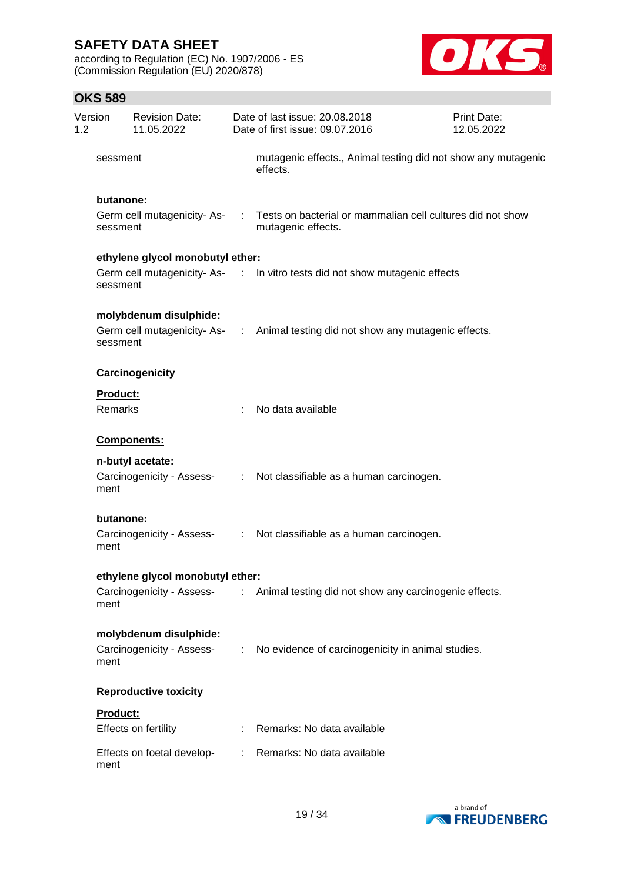according to Regulation (EC) No. 1907/2006 - ES (Commission Regulation (EU) 2020/878)



| Version<br>1.2 |                            | <b>Revision Date:</b><br>11.05.2022           |    | Date of last issue: 20.08.2018<br>Date of first issue: 09.07.2016                  | Print Date:<br>12.05.2022 |
|----------------|----------------------------|-----------------------------------------------|----|------------------------------------------------------------------------------------|---------------------------|
|                | sessment                   |                                               |    | mutagenic effects., Animal testing did not show any mutagenic<br>effects.          |                           |
|                | butanone:<br>sessment      | Germ cell mutagenicity-As-                    |    | : Tests on bacterial or mammalian cell cultures did not show<br>mutagenic effects. |                           |
|                |                            | ethylene glycol monobutyl ether:              |    |                                                                                    |                           |
|                | sessment                   |                                               |    | Germ cell mutagenicity-As- : In vitro tests did not show mutagenic effects         |                           |
|                | sessment                   | molybdenum disulphide:                        |    | Germ cell mutagenicity-As- : Animal testing did not show any mutagenic effects.    |                           |
|                |                            | Carcinogenicity                               |    |                                                                                    |                           |
|                | <b>Product:</b><br>Remarks |                                               |    | No data available                                                                  |                           |
|                |                            | Components:                                   |    |                                                                                    |                           |
|                | ment                       | n-butyl acetate:<br>Carcinogenicity - Assess- |    | : Not classifiable as a human carcinogen.                                          |                           |
|                | butanone:<br>ment          |                                               |    | Carcinogenicity - Assess- : Not classifiable as a human carcinogen.                |                           |
|                |                            | ethylene glycol monobutyl ether:              |    |                                                                                    |                           |
|                | ment                       |                                               |    | Carcinogenicity - Assess- : Animal testing did not show any carcinogenic effects.  |                           |
|                |                            | molybdenum disulphide:                        |    |                                                                                    |                           |
|                | ment                       | Carcinogenicity - Assess-                     |    | : No evidence of carcinogenicity in animal studies.                                |                           |
|                |                            | <b>Reproductive toxicity</b>                  |    |                                                                                    |                           |
|                | Product:                   |                                               |    |                                                                                    |                           |
|                |                            | Effects on fertility                          |    | Remarks: No data available                                                         |                           |
|                | ment                       | Effects on foetal develop-                    | ÷. | Remarks: No data available                                                         |                           |

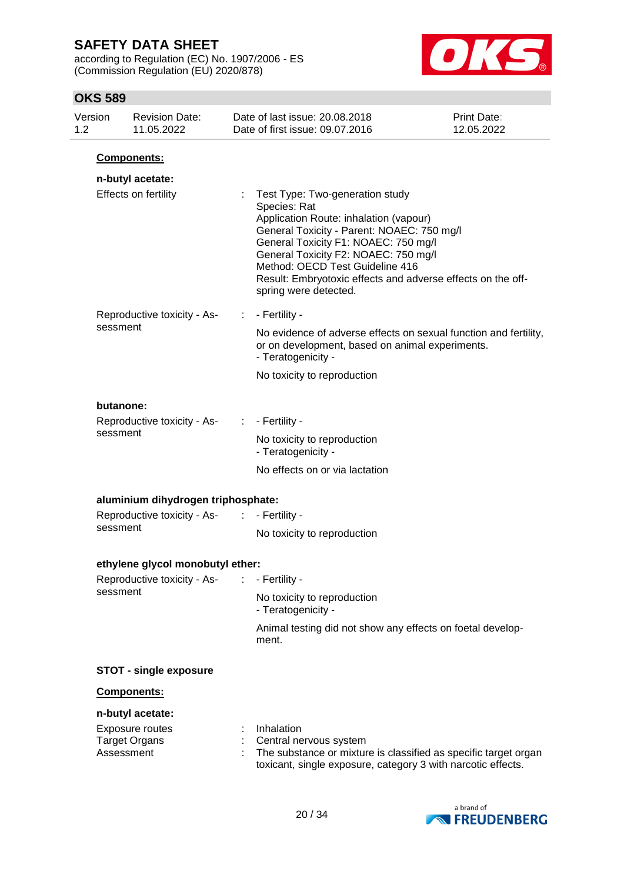according to Regulation (EC) No. 1907/2006 - ES (Commission Regulation (EU) 2020/878)



| Version<br>1.2 |            | <b>Revision Date:</b><br>11.05.2022            |                                                                                                                                           | Date of last issue: 20.08.2018<br>Date of first issue: 09.07.2016                                                                                                                                                                                                                                                                                  | <b>Print Date:</b><br>12.05.2022 |
|----------------|------------|------------------------------------------------|-------------------------------------------------------------------------------------------------------------------------------------------|----------------------------------------------------------------------------------------------------------------------------------------------------------------------------------------------------------------------------------------------------------------------------------------------------------------------------------------------------|----------------------------------|
|                |            | Components:                                    |                                                                                                                                           |                                                                                                                                                                                                                                                                                                                                                    |                                  |
|                |            | n-butyl acetate:                               |                                                                                                                                           |                                                                                                                                                                                                                                                                                                                                                    |                                  |
|                |            | Effects on fertility                           |                                                                                                                                           | Test Type: Two-generation study<br>Species: Rat<br>Application Route: inhalation (vapour)<br>General Toxicity - Parent: NOAEC: 750 mg/l<br>General Toxicity F1: NOAEC: 750 mg/l<br>General Toxicity F2: NOAEC: 750 mg/l<br>Method: OECD Test Guideline 416<br>Result: Embryotoxic effects and adverse effects on the off-<br>spring were detected. |                                  |
|                |            | Reproductive toxicity - As-                    | ÷                                                                                                                                         | - Fertility -                                                                                                                                                                                                                                                                                                                                      |                                  |
|                | sessment   |                                                | No evidence of adverse effects on sexual function and fertility,<br>or on development, based on animal experiments.<br>- Teratogenicity - |                                                                                                                                                                                                                                                                                                                                                    |                                  |
|                |            |                                                |                                                                                                                                           | No toxicity to reproduction                                                                                                                                                                                                                                                                                                                        |                                  |
|                | butanone:  |                                                |                                                                                                                                           |                                                                                                                                                                                                                                                                                                                                                    |                                  |
|                |            | Reproductive toxicity - As-                    | ÷.                                                                                                                                        | - Fertility -                                                                                                                                                                                                                                                                                                                                      |                                  |
|                | sessment   |                                                | No toxicity to reproduction<br>- Teratogenicity -                                                                                         |                                                                                                                                                                                                                                                                                                                                                    |                                  |
|                |            |                                                |                                                                                                                                           | No effects on or via lactation                                                                                                                                                                                                                                                                                                                     |                                  |
|                |            | aluminium dihydrogen triphosphate:             |                                                                                                                                           |                                                                                                                                                                                                                                                                                                                                                    |                                  |
|                |            | Reproductive toxicity - As-<br>:               |                                                                                                                                           | - Fertility -                                                                                                                                                                                                                                                                                                                                      |                                  |
|                | sessment   |                                                |                                                                                                                                           | No toxicity to reproduction                                                                                                                                                                                                                                                                                                                        |                                  |
|                |            | ethylene glycol monobutyl ether:               |                                                                                                                                           |                                                                                                                                                                                                                                                                                                                                                    |                                  |
|                |            | Reproductive toxicity - As-                    |                                                                                                                                           | - Fertility -                                                                                                                                                                                                                                                                                                                                      |                                  |
|                | sessment   |                                                |                                                                                                                                           | No toxicity to reproduction<br>- Teratogenicity -                                                                                                                                                                                                                                                                                                  |                                  |
|                |            |                                                |                                                                                                                                           | Animal testing did not show any effects on foetal develop-<br>ment.                                                                                                                                                                                                                                                                                |                                  |
|                |            | <b>STOT - single exposure</b>                  |                                                                                                                                           |                                                                                                                                                                                                                                                                                                                                                    |                                  |
|                |            | Components:                                    |                                                                                                                                           |                                                                                                                                                                                                                                                                                                                                                    |                                  |
|                |            | n-butyl acetate:                               |                                                                                                                                           |                                                                                                                                                                                                                                                                                                                                                    |                                  |
|                | Assessment | <b>Exposure routes</b><br><b>Target Organs</b> |                                                                                                                                           | Inhalation<br>Central nervous system<br>The substance or mixture is classified as specific target organ<br>toxicant, single exposure, category 3 with narcotic effects.                                                                                                                                                                            |                                  |

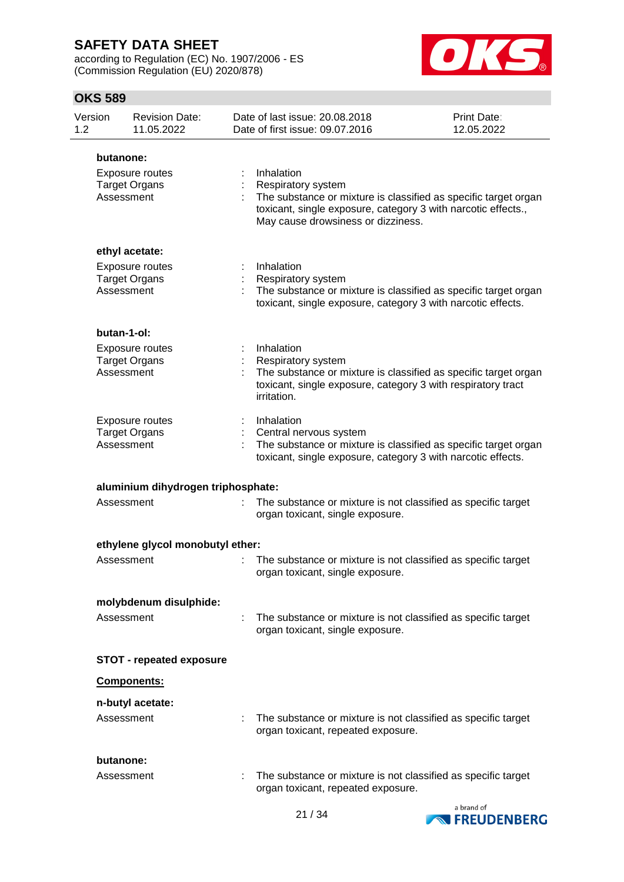according to Regulation (EC) No. 1907/2006 - ES (Commission Regulation (EU) 2020/878)



| Version<br>1.2 |                         | <b>Revision Date:</b><br>11.05.2022     | Date of last issue: 20.08.2018<br>Date of first issue: 09.07.2016                                                                                                                                          | Print Date:<br>12.05.2022 |
|----------------|-------------------------|-----------------------------------------|------------------------------------------------------------------------------------------------------------------------------------------------------------------------------------------------------------|---------------------------|
|                | butanone:               |                                         |                                                                                                                                                                                                            |                           |
|                | Assessment              | Exposure routes<br><b>Target Organs</b> | Inhalation<br>Respiratory system<br>The substance or mixture is classified as specific target organ<br>toxicant, single exposure, category 3 with narcotic effects.,<br>May cause drowsiness or dizziness. |                           |
|                |                         | ethyl acetate:                          |                                                                                                                                                                                                            |                           |
|                | Assessment              | Exposure routes<br><b>Target Organs</b> | Inhalation<br>Respiratory system<br>The substance or mixture is classified as specific target organ<br>toxicant, single exposure, category 3 with narcotic effects.                                        |                           |
|                | butan-1-ol:             |                                         |                                                                                                                                                                                                            |                           |
|                | Assessment              | Exposure routes<br><b>Target Organs</b> | Inhalation<br>Respiratory system<br>The substance or mixture is classified as specific target organ<br>toxicant, single exposure, category 3 with respiratory tract<br>irritation.                         |                           |
|                | Assessment              | Exposure routes<br><b>Target Organs</b> | Inhalation<br>Central nervous system<br>The substance or mixture is classified as specific target organ<br>toxicant, single exposure, category 3 with narcotic effects.                                    |                           |
|                |                         | aluminium dihydrogen triphosphate:      |                                                                                                                                                                                                            |                           |
|                | Assessment              |                                         | The substance or mixture is not classified as specific target<br>organ toxicant, single exposure.                                                                                                          |                           |
|                |                         | ethylene glycol monobutyl ether:        |                                                                                                                                                                                                            |                           |
|                | Assessment              |                                         | The substance or mixture is not classified as specific target<br>organ toxicant, single exposure.                                                                                                          |                           |
|                |                         | molybdenum disulphide:                  |                                                                                                                                                                                                            |                           |
|                | Assessment              |                                         | The substance or mixture is not classified as specific target<br>organ toxicant, single exposure.                                                                                                          |                           |
|                |                         | <b>STOT - repeated exposure</b>         |                                                                                                                                                                                                            |                           |
|                |                         | Components:                             |                                                                                                                                                                                                            |                           |
|                | Assessment              | n-butyl acetate:                        | The substance or mixture is not classified as specific target<br>organ toxicant, repeated exposure.                                                                                                        |                           |
|                | butanone:<br>Assessment |                                         | The substance or mixture is not classified as specific target<br>organ toxicant, repeated exposure.                                                                                                        |                           |

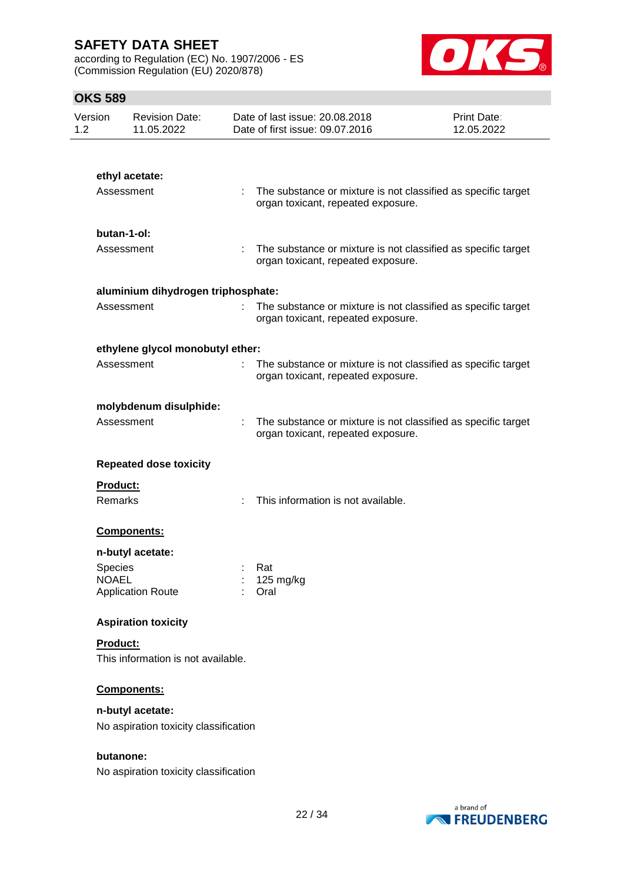according to Regulation (EC) No. 1907/2006 - ES (Commission Regulation (EU) 2020/878)



| Version<br>1.2          | <b>Revision Date:</b><br>11.05.2022   |                  | Date of last issue: 20.08.2018<br>Date of first issue: 09.07.2016                                     | Print Date:<br>12.05.2022 |
|-------------------------|---------------------------------------|------------------|-------------------------------------------------------------------------------------------------------|---------------------------|
|                         |                                       |                  |                                                                                                       |                           |
|                         | ethyl acetate:                        |                  |                                                                                                       |                           |
|                         | Assessment                            |                  | The substance or mixture is not classified as specific target<br>organ toxicant, repeated exposure.   |                           |
|                         | butan-1-ol:                           |                  |                                                                                                       |                           |
|                         | Assessment                            | ÷.               | The substance or mixture is not classified as specific target<br>organ toxicant, repeated exposure.   |                           |
|                         | aluminium dihydrogen triphosphate:    |                  |                                                                                                       |                           |
|                         | Assessment                            |                  | : The substance or mixture is not classified as specific target<br>organ toxicant, repeated exposure. |                           |
|                         | ethylene glycol monobutyl ether:      |                  |                                                                                                       |                           |
|                         | Assessment                            |                  | The substance or mixture is not classified as specific target<br>organ toxicant, repeated exposure.   |                           |
|                         | molybdenum disulphide:                |                  |                                                                                                       |                           |
|                         | Assessment                            |                  | The substance or mixture is not classified as specific target<br>organ toxicant, repeated exposure.   |                           |
|                         | <b>Repeated dose toxicity</b>         |                  |                                                                                                       |                           |
| Product:                |                                       |                  |                                                                                                       |                           |
| Remarks                 |                                       |                  | This information is not available.                                                                    |                           |
|                         | Components:                           |                  |                                                                                                       |                           |
|                         | n-butyl acetate:                      |                  |                                                                                                       |                           |
| Species<br><b>NOAEL</b> |                                       | Rat<br>125 mg/kg |                                                                                                       |                           |
|                         | <b>Application Route</b>              | Oral             |                                                                                                       |                           |
|                         | <b>Aspiration toxicity</b>            |                  |                                                                                                       |                           |
| Product:                |                                       |                  |                                                                                                       |                           |
|                         | This information is not available.    |                  |                                                                                                       |                           |
|                         | Components:                           |                  |                                                                                                       |                           |
|                         | n-butyl acetate:                      |                  |                                                                                                       |                           |
|                         | No aspiration toxicity classification |                  |                                                                                                       |                           |
|                         | butanone:                             |                  |                                                                                                       |                           |
|                         | No aspiration toxicity classification |                  |                                                                                                       |                           |

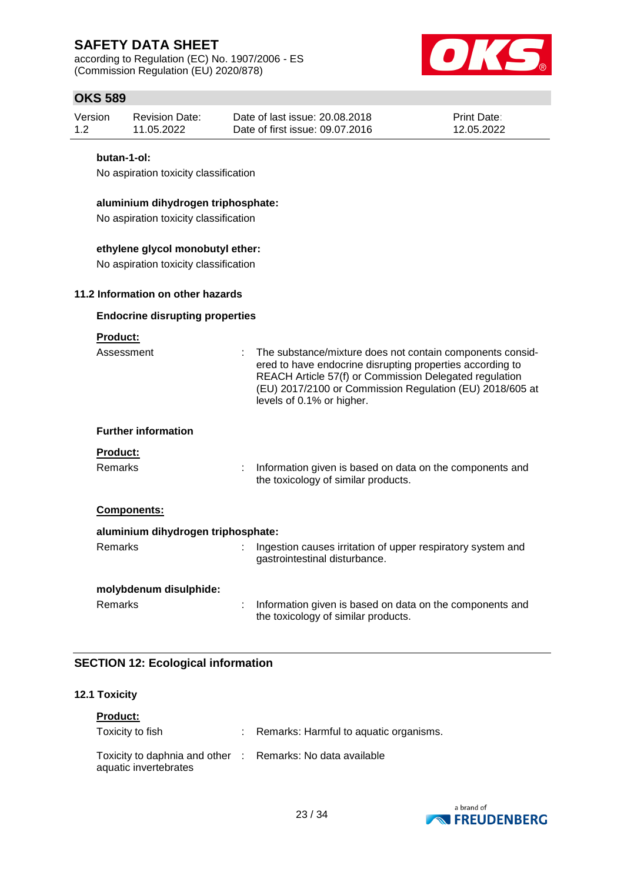according to Regulation (EC) No. 1907/2006 - ES (Commission Regulation (EU) 2020/878)



## **OKS 589**

| <b>Revision Date:</b><br>Version<br>12<br>11.05.2022 |             | Date of last issue: 20.08.2018<br>Date of first issue: 09.07.2016 | <b>Print Date:</b><br>12.05.2022 |  |  |  |
|------------------------------------------------------|-------------|-------------------------------------------------------------------|----------------------------------|--|--|--|
|                                                      | butan-1-ol: |                                                                   |                                  |  |  |  |
| No aspiration toxicity classification                |             |                                                                   |                                  |  |  |  |

## **aluminium dihydrogen triphosphate:**

No aspiration toxicity classification

### **ethylene glycol monobutyl ether:**

No aspiration toxicity classification

### **11.2 Information on other hazards**

### **Endocrine disrupting properties**

### **Product:**

| Assessment                         | : The substance/mixture does not contain components consid-<br>ered to have endocrine disrupting properties according to<br>REACH Article 57(f) or Commission Delegated regulation<br>(EU) 2017/2100 or Commission Regulation (EU) 2018/605 at<br>levels of 0.1% or higher. |
|------------------------------------|-----------------------------------------------------------------------------------------------------------------------------------------------------------------------------------------------------------------------------------------------------------------------------|
| <b>Further information</b>         |                                                                                                                                                                                                                                                                             |
| <b>Product:</b><br><b>Remarks</b>  | Information given is based on data on the components and<br>the toxicology of similar products.                                                                                                                                                                             |
| <b>Components:</b>                 |                                                                                                                                                                                                                                                                             |
| aluminium dihydrogen triphosphate: |                                                                                                                                                                                                                                                                             |
| <b>Remarks</b>                     | Ingestion causes irritation of upper respiratory system and<br>gastrointestinal disturbance.                                                                                                                                                                                |
| molybdenum disulphide:             |                                                                                                                                                                                                                                                                             |
| <b>Remarks</b>                     | Information given is based on data on the components and                                                                                                                                                                                                                    |

the toxicology of similar products.

### **SECTION 12: Ecological information**

#### **12.1 Toxicity**

| <b>Product:</b>                                                                     |                                          |
|-------------------------------------------------------------------------------------|------------------------------------------|
| Toxicity to fish                                                                    | : Remarks: Harmful to aquatic organisms. |
| Toxicity to daphnia and other : Remarks: No data available<br>aquatic invertebrates |                                          |

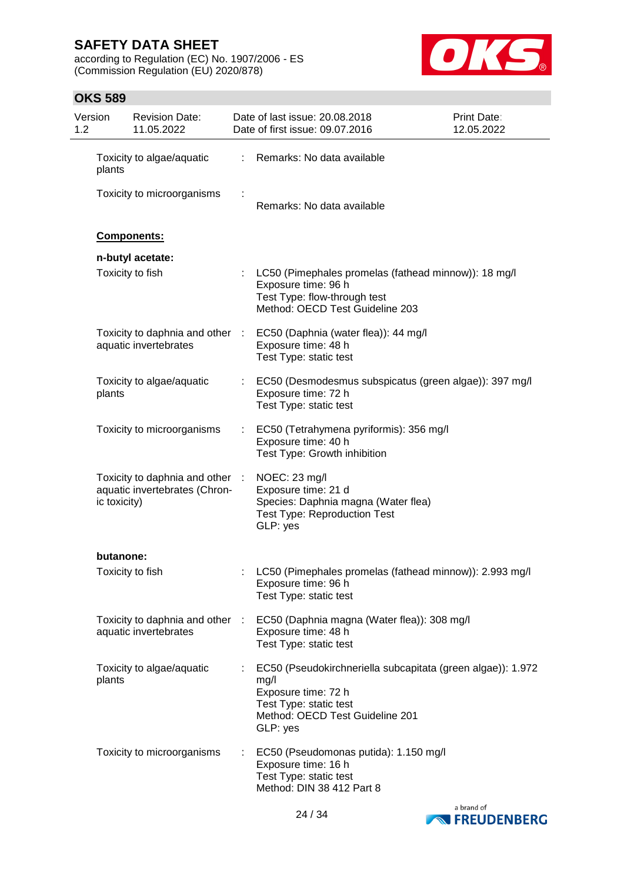according to Regulation (EC) No. 1907/2006 - ES (Commission Regulation (EU) 2020/878)



| Version<br>1.2 |                  | <b>Revision Date:</b><br>11.05.2022                              |    | Date of last issue: 20.08.2018<br>Date of first issue: 09.07.2016                                                                                                   | Print Date:<br>12.05.2022 |
|----------------|------------------|------------------------------------------------------------------|----|---------------------------------------------------------------------------------------------------------------------------------------------------------------------|---------------------------|
|                | plants           | Toxicity to algae/aquatic                                        | ÷. | Remarks: No data available                                                                                                                                          |                           |
|                |                  | Toxicity to microorganisms                                       |    | Remarks: No data available                                                                                                                                          |                           |
|                | Components:      |                                                                  |    |                                                                                                                                                                     |                           |
|                |                  | n-butyl acetate:                                                 |    |                                                                                                                                                                     |                           |
|                | Toxicity to fish |                                                                  |    | LC50 (Pimephales promelas (fathead minnow)): 18 mg/l<br>Exposure time: 96 h<br>Test Type: flow-through test<br>Method: OECD Test Guideline 203                      |                           |
|                |                  | Toxicity to daphnia and other :<br>aquatic invertebrates         |    | EC50 (Daphnia (water flea)): 44 mg/l<br>Exposure time: 48 h<br>Test Type: static test                                                                               |                           |
|                | plants           | Toxicity to algae/aquatic                                        |    | EC50 (Desmodesmus subspicatus (green algae)): 397 mg/l<br>Exposure time: 72 h<br>Test Type: static test                                                             |                           |
|                |                  | Toxicity to microorganisms                                       |    | EC50 (Tetrahymena pyriformis): 356 mg/l<br>Exposure time: 40 h<br>Test Type: Growth inhibition                                                                      |                           |
|                | ic toxicity)     | Toxicity to daphnia and other :<br>aquatic invertebrates (Chron- |    | NOEC: 23 mg/l<br>Exposure time: 21 d<br>Species: Daphnia magna (Water flea)<br><b>Test Type: Reproduction Test</b><br>GLP: yes                                      |                           |
|                | butanone:        |                                                                  |    |                                                                                                                                                                     |                           |
|                | Toxicity to fish |                                                                  |    | LC50 (Pimephales promelas (fathead minnow)): 2.993 mg/l<br>Exposure time: 96 h<br>Test Type: static test                                                            |                           |
|                |                  | Toxicity to daphnia and other :<br>aquatic invertebrates         |    | EC50 (Daphnia magna (Water flea)): 308 mg/l<br>Exposure time: 48 h<br>Test Type: static test                                                                        |                           |
|                | plants           | Toxicity to algae/aquatic                                        |    | EC50 (Pseudokirchneriella subcapitata (green algae)): 1.972<br>mg/l<br>Exposure time: 72 h<br>Test Type: static test<br>Method: OECD Test Guideline 201<br>GLP: yes |                           |
|                |                  | Toxicity to microorganisms                                       |    | EC50 (Pseudomonas putida): 1.150 mg/l<br>Exposure time: 16 h<br>Test Type: static test<br>Method: DIN 38 412 Part 8                                                 |                           |

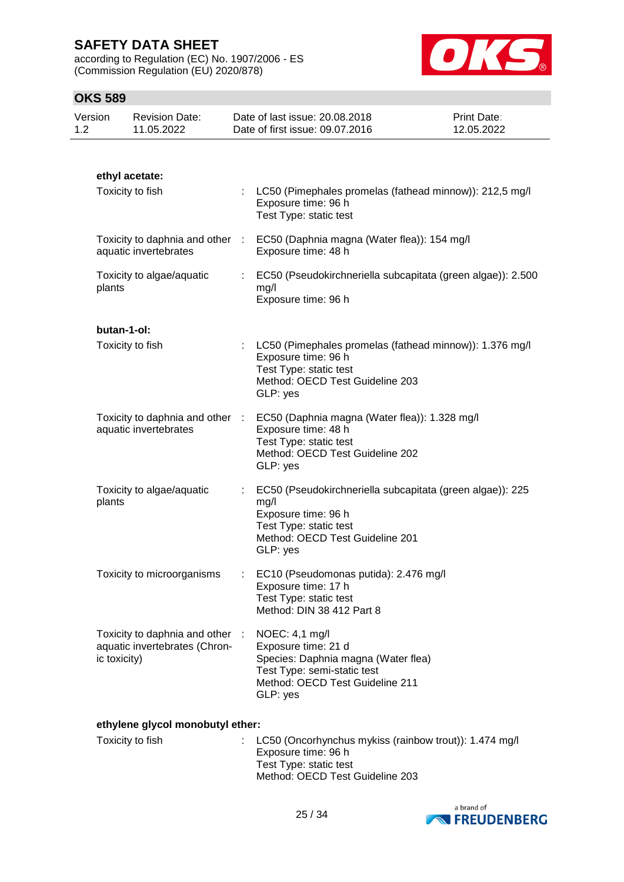according to Regulation (EC) No. 1907/2006 - ES (Commission Regulation (EU) 2020/878)



## **OKS 589**

| Version<br>1.2 |              | <b>Revision Date:</b><br>11.05.2022                            | Date of last issue: 20.08.2018<br>Date of first issue: 09.07.2016                                                                                                 | <b>Print Date:</b><br>12.05.2022 |
|----------------|--------------|----------------------------------------------------------------|-------------------------------------------------------------------------------------------------------------------------------------------------------------------|----------------------------------|
|                |              |                                                                |                                                                                                                                                                   |                                  |
|                |              | ethyl acetate:<br>Toxicity to fish                             |                                                                                                                                                                   |                                  |
|                |              |                                                                | LC50 (Pimephales promelas (fathead minnow)): 212,5 mg/l<br>Exposure time: 96 h<br>Test Type: static test                                                          |                                  |
|                |              | aquatic invertebrates                                          | Toxicity to daphnia and other : EC50 (Daphnia magna (Water flea)): 154 mg/l<br>Exposure time: 48 h                                                                |                                  |
|                | plants       | Toxicity to algae/aquatic                                      | EC50 (Pseudokirchneriella subcapitata (green algae)): 2.500<br>mg/l<br>Exposure time: 96 h                                                                        |                                  |
|                | butan-1-ol:  |                                                                |                                                                                                                                                                   |                                  |
|                |              | Toxicity to fish                                               | LC50 (Pimephales promelas (fathead minnow)): 1.376 mg/l<br>Exposure time: 96 h<br>Test Type: static test<br>Method: OECD Test Guideline 203<br>GLP: yes           |                                  |
|                |              | Toxicity to daphnia and other :<br>aquatic invertebrates       | EC50 (Daphnia magna (Water flea)): 1.328 mg/l<br>Exposure time: 48 h<br>Test Type: static test<br>Method: OECD Test Guideline 202<br>GLP: yes                     |                                  |
|                | plants       | Toxicity to algae/aquatic                                      | EC50 (Pseudokirchneriella subcapitata (green algae)): 225<br>mg/l<br>Exposure time: 96 h<br>Test Type: static test<br>Method: OECD Test Guideline 201<br>GLP: yes |                                  |
|                |              | Toxicity to microorganisms                                     | EC10 (Pseudomonas putida): 2.476 mg/l<br>Exposure time: 17 h<br>Test Type: static test<br>Method: DIN 38 412 Part 8                                               |                                  |
|                | ic toxicity) | Toxicity to daphnia and other<br>aquatic invertebrates (Chron- | NOEC: 4,1 mg/l<br>Exposure time: 21 d<br>Species: Daphnia magna (Water flea)<br>Test Type: semi-static test<br>Method: OECD Test Guideline 211<br>GLP: yes        |                                  |
|                |              | ethylene glycol monobutyl ether:                               |                                                                                                                                                                   |                                  |
|                |              | Toxicity to fish                                               | LC50 (Oncorhynchus mykiss (rainbow trout)): 1.474 mg/l<br>Exposure time: 96 h                                                                                     |                                  |



Method: OECD Test Guideline 203

Test Type: static test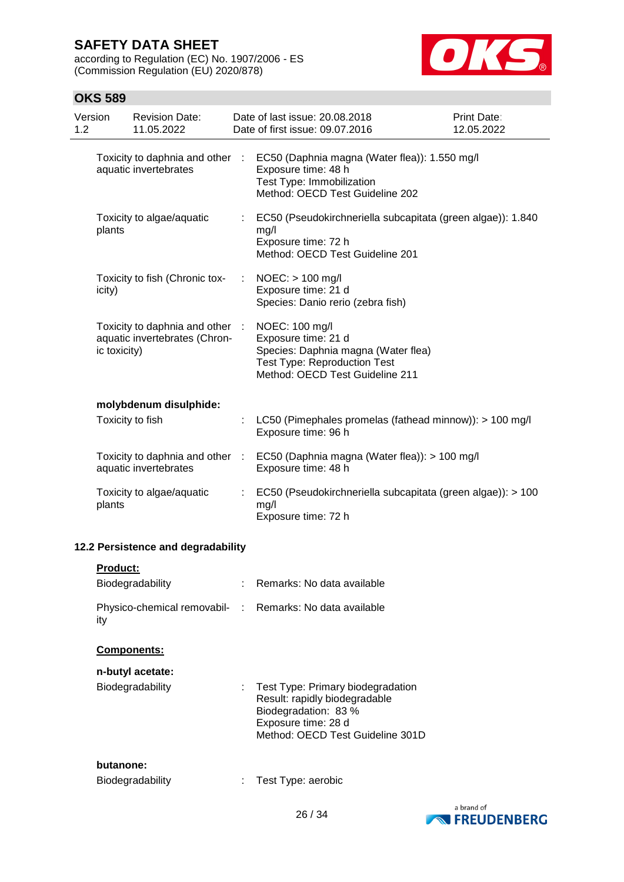according to Regulation (EC) No. 1907/2006 - ES (Commission Regulation (EU) 2020/878)



| Version<br>1.2 |                 | <b>Revision Date:</b><br>11.05.2022                              | Date of last issue: 20.08.2018<br>Date of first issue: 09.07.2016                                                                                      | <b>Print Date:</b><br>12.05.2022 |
|----------------|-----------------|------------------------------------------------------------------|--------------------------------------------------------------------------------------------------------------------------------------------------------|----------------------------------|
|                |                 | Toxicity to daphnia and other :<br>aquatic invertebrates         | EC50 (Daphnia magna (Water flea)): 1.550 mg/l<br>Exposure time: 48 h<br>Test Type: Immobilization<br>Method: OECD Test Guideline 202                   |                                  |
|                | plants          | Toxicity to algae/aquatic                                        | EC50 (Pseudokirchneriella subcapitata (green algae)): 1.840<br>mg/l<br>Exposure time: 72 h<br>Method: OECD Test Guideline 201                          |                                  |
|                | icity)          | Toxicity to fish (Chronic tox-                                   | $NOEC:$ > 100 mg/l<br>Exposure time: 21 d<br>Species: Danio rerio (zebra fish)                                                                         |                                  |
|                | ic toxicity)    | Toxicity to daphnia and other :<br>aquatic invertebrates (Chron- | NOEC: 100 mg/l<br>Exposure time: 21 d<br>Species: Daphnia magna (Water flea)<br><b>Test Type: Reproduction Test</b><br>Method: OECD Test Guideline 211 |                                  |
|                |                 | molybdenum disulphide:                                           |                                                                                                                                                        |                                  |
|                |                 | Toxicity to fish                                                 | LC50 (Pimephales promelas (fathead minnow)): > 100 mg/l<br>Exposure time: 96 h                                                                         |                                  |
|                |                 | Toxicity to daphnia and other :<br>aquatic invertebrates         | EC50 (Daphnia magna (Water flea)): > 100 mg/l<br>Exposure time: 48 h                                                                                   |                                  |
|                | plants          | Toxicity to algae/aquatic                                        | EC50 (Pseudokirchneriella subcapitata (green algae)): > 100<br>mg/l<br>Exposure time: 72 h                                                             |                                  |
|                |                 | 12.2 Persistence and degradability                               |                                                                                                                                                        |                                  |
|                | <b>Product:</b> |                                                                  |                                                                                                                                                        |                                  |
|                |                 | Biodegradability                                                 | Remarks: No data available                                                                                                                             |                                  |
|                | ity             | Physico-chemical removabil- :                                    | Remarks: No data available                                                                                                                             |                                  |
|                |                 | Components:                                                      |                                                                                                                                                        |                                  |
|                |                 | n-butyl acetate:                                                 |                                                                                                                                                        |                                  |
|                |                 | Biodegradability                                                 | Test Type: Primary biodegradation<br>Result: rapidly biodegradable<br>Biodegradation: 83 %<br>Exposure time: 28 d<br>Method: OECD Test Guideline 301D  |                                  |
|                | butanone:       |                                                                  |                                                                                                                                                        |                                  |
|                |                 | Biodegradability                                                 | Test Type: aerobic                                                                                                                                     |                                  |
|                |                 |                                                                  |                                                                                                                                                        |                                  |

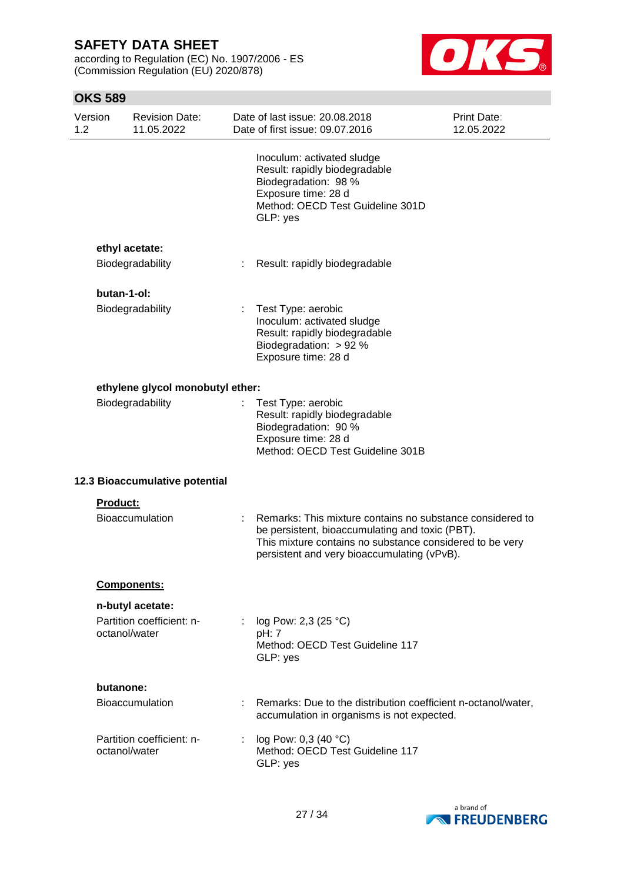according to Regulation (EC) No. 1907/2006 - ES (Commission Regulation (EU) 2020/878)



| Version<br>1.2                   |             | <b>Revision Date:</b><br>11.05.2022                            |                                                                                                                                        | Date of last issue: 20.08.2018<br>Print Date:<br>Date of first issue: 09.07.2016<br>12.05.2022                                                                                                                          |  |  |
|----------------------------------|-------------|----------------------------------------------------------------|----------------------------------------------------------------------------------------------------------------------------------------|-------------------------------------------------------------------------------------------------------------------------------------------------------------------------------------------------------------------------|--|--|
|                                  |             |                                                                |                                                                                                                                        | Inoculum: activated sludge<br>Result: rapidly biodegradable<br>Biodegradation: 98 %<br>Exposure time: 28 d<br>Method: OECD Test Guideline 301D<br>GLP: yes                                                              |  |  |
| ethyl acetate:                   |             |                                                                |                                                                                                                                        |                                                                                                                                                                                                                         |  |  |
|                                  |             | Biodegradability                                               | ÷                                                                                                                                      | Result: rapidly biodegradable                                                                                                                                                                                           |  |  |
|                                  | butan-1-ol: |                                                                |                                                                                                                                        |                                                                                                                                                                                                                         |  |  |
|                                  |             | Biodegradability                                               |                                                                                                                                        | Test Type: aerobic<br>Inoculum: activated sludge<br>Result: rapidly biodegradable<br>Biodegradation: > 92 %<br>Exposure time: 28 d                                                                                      |  |  |
| ethylene glycol monobutyl ether: |             |                                                                |                                                                                                                                        |                                                                                                                                                                                                                         |  |  |
| Biodegradability                 |             |                                                                | Test Type: aerobic<br>Result: rapidly biodegradable<br>Biodegradation: 90 %<br>Exposure time: 28 d<br>Method: OECD Test Guideline 301B |                                                                                                                                                                                                                         |  |  |
|                                  |             | 12.3 Bioaccumulative potential                                 |                                                                                                                                        |                                                                                                                                                                                                                         |  |  |
|                                  | Product:    | <b>Bioaccumulation</b>                                         | t.                                                                                                                                     | Remarks: This mixture contains no substance considered to<br>be persistent, bioaccumulating and toxic (PBT).<br>This mixture contains no substance considered to be very<br>persistent and very bioaccumulating (vPvB). |  |  |
|                                  |             | Components:                                                    |                                                                                                                                        |                                                                                                                                                                                                                         |  |  |
|                                  |             | n-butyl acetate:<br>Partition coefficient: n-<br>octanol/water | $\mathbb{R}^n$                                                                                                                         | log Pow: 2,3 (25 °C)<br>pH: 7<br>Method: OECD Test Guideline 117<br>GLP: yes                                                                                                                                            |  |  |
|                                  | butanone:   |                                                                |                                                                                                                                        |                                                                                                                                                                                                                         |  |  |
|                                  |             | <b>Bioaccumulation</b>                                         |                                                                                                                                        | Remarks: Due to the distribution coefficient n-octanol/water,<br>accumulation in organisms is not expected.                                                                                                             |  |  |
|                                  |             | Partition coefficient: n-<br>octanol/water                     |                                                                                                                                        | log Pow: 0,3 (40 °C)<br>Method: OECD Test Guideline 117<br>GLP: yes                                                                                                                                                     |  |  |

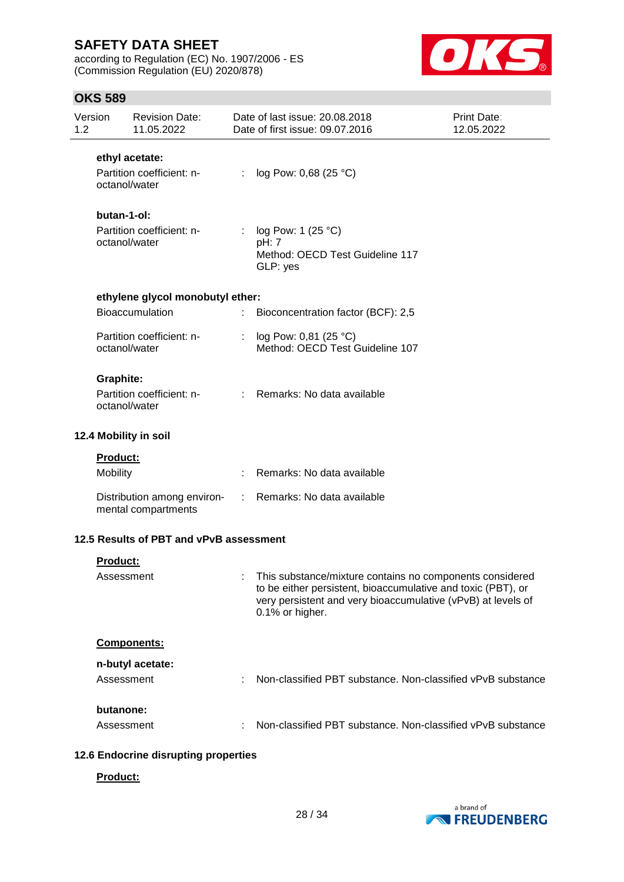according to Regulation (EC) No. 1907/2006 - ES (Commission Regulation (EU) 2020/878)



## **OKS 589**

| Version<br>1.2 |                                            | <b>Revision Date:</b><br>11.05.2022                |    | Date of last issue: 20.08.2018<br>Date of first issue: 09.07.2016                                                                                                                                             | <b>Print Date:</b><br>12.05.2022 |
|----------------|--------------------------------------------|----------------------------------------------------|----|---------------------------------------------------------------------------------------------------------------------------------------------------------------------------------------------------------------|----------------------------------|
|                |                                            | ethyl acetate:                                     |    |                                                                                                                                                                                                               |                                  |
|                |                                            | Partition coefficient: n-<br>octanol/water         |    | : $log Pow: 0,68 (25 °C)$                                                                                                                                                                                     |                                  |
|                | butan-1-ol:                                |                                                    |    |                                                                                                                                                                                                               |                                  |
|                | Partition coefficient: n-<br>octanol/water |                                                    |    | log Pow: 1 (25 °C)<br>pH: 7<br>Method: OECD Test Guideline 117<br>GLP: yes                                                                                                                                    |                                  |
|                |                                            | ethylene glycol monobutyl ether:                   |    |                                                                                                                                                                                                               |                                  |
|                |                                            | Bioaccumulation                                    | ÷. | Bioconcentration factor (BCF): 2,5                                                                                                                                                                            |                                  |
|                |                                            | Partition coefficient: n-<br>octanol/water         |    | : $log Pow: 0,81 (25 °C)$<br>Method: OECD Test Guideline 107                                                                                                                                                  |                                  |
|                | <b>Graphite:</b>                           |                                                    |    |                                                                                                                                                                                                               |                                  |
|                |                                            | Partition coefficient: n-<br>octanol/water         |    | : Remarks: No data available                                                                                                                                                                                  |                                  |
|                |                                            | 12.4 Mobility in soil                              |    |                                                                                                                                                                                                               |                                  |
|                | Product:                                   |                                                    |    |                                                                                                                                                                                                               |                                  |
|                | Mobility                                   |                                                    |    | Remarks: No data available                                                                                                                                                                                    |                                  |
|                |                                            | Distribution among environ-<br>mental compartments |    | : Remarks: No data available                                                                                                                                                                                  |                                  |
|                |                                            | 12.5 Results of PBT and vPvB assessment            |    |                                                                                                                                                                                                               |                                  |
|                | <u>Product:</u>                            |                                                    |    |                                                                                                                                                                                                               |                                  |
|                | Assessment                                 |                                                    |    | : This substance/mixture contains no components considered<br>to be either persistent, bioaccumulative and toxic (PBT), or<br>very persistent and very bioaccumulative (vPvB) at levels of<br>0.1% or higher. |                                  |
|                |                                            | Components:                                        |    |                                                                                                                                                                                                               |                                  |
|                |                                            | n-butyl acetate:                                   |    |                                                                                                                                                                                                               |                                  |
|                | Assessment                                 |                                                    |    | Non-classified PBT substance. Non-classified vPvB substance                                                                                                                                                   |                                  |
|                | butanone:                                  |                                                    |    |                                                                                                                                                                                                               |                                  |
|                | Assessment                                 |                                                    |    | Non-classified PBT substance. Non-classified vPvB substance                                                                                                                                                   |                                  |
|                |                                            |                                                    |    |                                                                                                                                                                                                               |                                  |

### **12.6 Endocrine disrupting properties**

### **Product:**

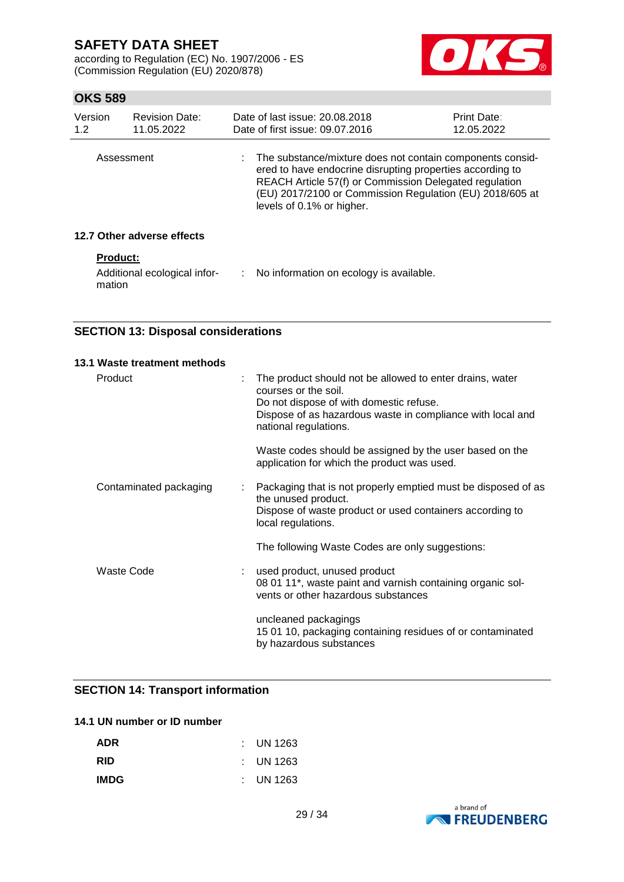according to Regulation (EC) No. 1907/2006 - ES (Commission Regulation (EU) 2020/878)



## **OKS 589**

| Version<br>1.2  | <b>Revision Date:</b><br>11.05.2022 | Date of last issue: 20.08.2018<br>Date of first issue: 09.07.2016                                                                                                                                                                                                           | <b>Print Date:</b><br>12.05.2022 |
|-----------------|-------------------------------------|-----------------------------------------------------------------------------------------------------------------------------------------------------------------------------------------------------------------------------------------------------------------------------|----------------------------------|
| Assessment      |                                     | : The substance/mixture does not contain components consid-<br>ered to have endocrine disrupting properties according to<br>REACH Article 57(f) or Commission Delegated regulation<br>(EU) 2017/2100 or Commission Regulation (EU) 2018/605 at<br>levels of 0.1% or higher. |                                  |
|                 | 12.7 Other adverse effects          |                                                                                                                                                                                                                                                                             |                                  |
| <b>Product:</b> |                                     |                                                                                                                                                                                                                                                                             |                                  |

mation

Additional ecological infor-: No information on ecology is available.

**SECTION 13: Disposal considerations**

## **13.1 Waste treatment methods** Product The product should not be allowed to enter drains, water courses or the soil. Do not dispose of with domestic refuse. Dispose of as hazardous waste in compliance with local and national regulations. Waste codes should be assigned by the user based on the application for which the product was used. Contaminated packaging : Packaging that is not properly emptied must be disposed of as the unused product. Dispose of waste product or used containers according to local regulations. The following Waste Codes are only suggestions: Waste Code : used product, unused product 08 01 11\*, waste paint and varnish containing organic solvents or other hazardous substances uncleaned packagings 15 01 10, packaging containing residues of or contaminated by hazardous substances

### **SECTION 14: Transport information**

### **14.1 UN number or ID number**

| <b>ADR</b>  | $\therefore$ UN 1263 |
|-------------|----------------------|
| <b>RID</b>  | $\therefore$ UN 1263 |
| <b>IMDG</b> | $\therefore$ UN 1263 |

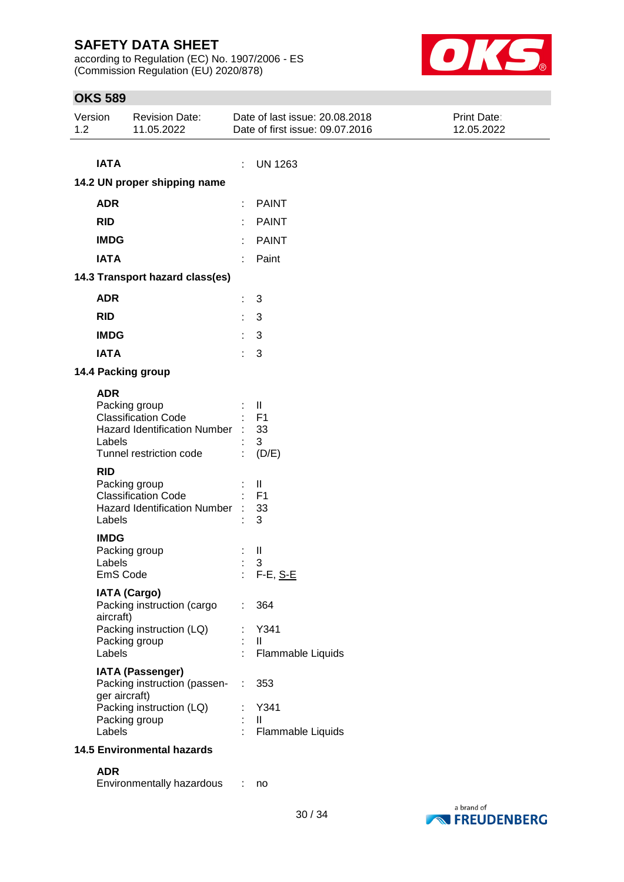according to Regulation (EC) No. 1907/2006 - ES (Commission Regulation (EU) 2020/878)



| Version<br>1.2 | <b>Revision Date:</b><br>11.05.2022                                                                                             | Date of last issue: 20.08.2018<br>Date of first issue: 09.07.2016 | Print Date:<br>12.05.2022 |  |
|----------------|---------------------------------------------------------------------------------------------------------------------------------|-------------------------------------------------------------------|---------------------------|--|
| <b>IATA</b>    | 14.2 UN proper shipping name                                                                                                    | <b>UN 1263</b><br>÷                                               |                           |  |
|                |                                                                                                                                 |                                                                   |                           |  |
| <b>ADR</b>     |                                                                                                                                 | <b>PAINT</b>                                                      |                           |  |
| <b>RID</b>     |                                                                                                                                 | <b>PAINT</b>                                                      |                           |  |
| <b>IMDG</b>    |                                                                                                                                 | <b>PAINT</b>                                                      |                           |  |
| <b>IATA</b>    |                                                                                                                                 | Paint                                                             |                           |  |
|                | 14.3 Transport hazard class(es)                                                                                                 |                                                                   |                           |  |
| <b>ADR</b>     |                                                                                                                                 | $\sqrt{3}$<br>t                                                   |                           |  |
| <b>RID</b>     |                                                                                                                                 | 3                                                                 |                           |  |
| <b>IMDG</b>    |                                                                                                                                 | 3                                                                 |                           |  |
| <b>IATA</b>    |                                                                                                                                 | 3                                                                 |                           |  |
|                | 14.4 Packing group                                                                                                              |                                                                   |                           |  |
| <b>ADR</b>     | Packing group<br><b>Classification Code</b><br><b>Hazard Identification Number</b><br>Labels<br>Tunnel restriction code         | Ш<br>F <sub>1</sub><br>33<br>3<br>(D/E)                           |                           |  |
| <b>RID</b>     | Packing group<br><b>Classification Code</b><br><b>Hazard Identification Number</b><br>Labels                                    | Ш<br>F <sub>1</sub><br>33<br>3                                    |                           |  |
| <b>IMDG</b>    | Packing group<br>Labels<br>EmS Code                                                                                             | $\mathbf{I}$<br>3<br>F-E, <u>S-E</u>                              |                           |  |
|                | <b>IATA (Cargo)</b><br>Packing instruction (cargo<br>aircraft)<br>Packing instruction (LQ)<br>Packing group<br>Labels           | 364<br>÷<br>Y341<br>$\mathbf{H}$<br>Flammable Liquids             |                           |  |
|                | <b>IATA (Passenger)</b><br>Packing instruction (passen-<br>ger aircraft)<br>Packing instruction (LQ)<br>Packing group<br>Labels | 353<br>÷<br>Y341<br>$\mathbf{H}$<br>Flammable Liquids             |                           |  |
|                | <b>14.5 Environmental hazards</b>                                                                                               |                                                                   |                           |  |
| <b>ADR</b>     |                                                                                                                                 |                                                                   |                           |  |
|                | Environmentally hazardous                                                                                                       | no                                                                |                           |  |

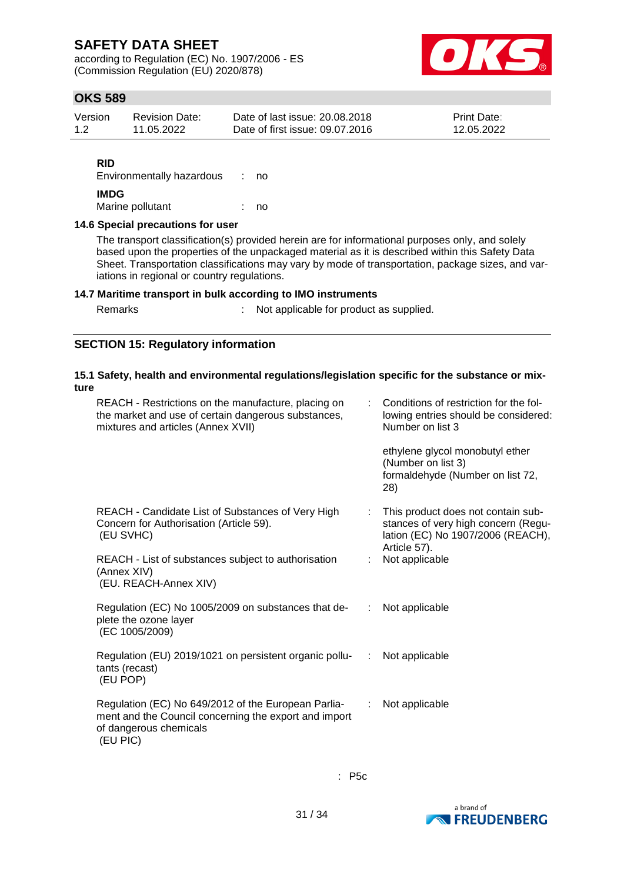according to Regulation (EC) No. 1907/2006 - ES (Commission Regulation (EU) 2020/878)



## **OKS 589**

| Version | <b>Revision Date:</b> | Date of last issue: 20.08.2018  | <b>Print Date:</b> |
|---------|-----------------------|---------------------------------|--------------------|
| 1.2     | 11.05.2022            | Date of first issue: 09.07.2016 | 12.05.2022         |

### **RID**

Environmentally hazardous : no **IMDG** Marine pollutant : no

### **14.6 Special precautions for user**

The transport classification(s) provided herein are for informational purposes only, and solely based upon the properties of the unpackaged material as it is described within this Safety Data Sheet. Transportation classifications may vary by mode of transportation, package sizes, and variations in regional or country regulations.

### **14.7 Maritime transport in bulk according to IMO instruments**

s : Not applicable for product as supplied.

### **SECTION 15: Regulatory information**

### **15.1 Safety, health and environmental regulations/legislation specific for the substance or mixture**

| REACH - Restrictions on the manufacture, placing on<br>the market and use of certain dangerous substances,<br>mixtures and articles (Annex XVII)   | Conditions of restriction for the fol-<br>lowing entries should be considered:<br>Number on list 3<br>ethylene glycol monobutyl ether<br>(Number on list 3)<br>formaldehyde (Number on list 72,<br>28) |
|----------------------------------------------------------------------------------------------------------------------------------------------------|--------------------------------------------------------------------------------------------------------------------------------------------------------------------------------------------------------|
| REACH - Candidate List of Substances of Very High<br>Concern for Authorisation (Article 59).<br>(EU SVHC)                                          | This product does not contain sub-<br>stances of very high concern (Regu-<br>lation (EC) No 1907/2006 (REACH),<br>Article 57).                                                                         |
| REACH - List of substances subject to authorisation<br>(Annex XIV)<br>(EU. REACH-Annex XIV)                                                        | Not applicable                                                                                                                                                                                         |
| Regulation (EC) No 1005/2009 on substances that de-<br>plete the ozone layer<br>(EC 1005/2009)                                                     | Not applicable<br>$\mathbb{Z}^n$                                                                                                                                                                       |
| Regulation (EU) 2019/1021 on persistent organic pollu-<br>tants (recast)<br>(EU POP)                                                               | Not applicable<br>÷                                                                                                                                                                                    |
| Regulation (EC) No 649/2012 of the European Parlia-<br>ment and the Council concerning the export and import<br>of dangerous chemicals<br>(EU PIC) | Not applicable<br>÷                                                                                                                                                                                    |

: P5c

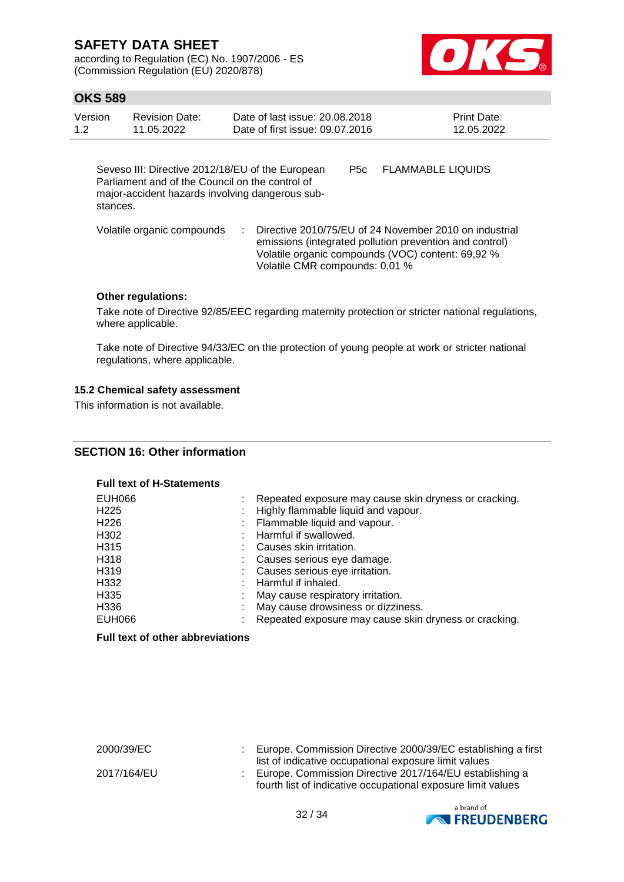according to Regulation (EC) No. 1907/2006 - ES (Commission Regulation (EU) 2020/878)



### **OKS 589**

| Version | Revision Date: | Date of last issue: 20.08.2018  | <b>Print Date:</b> |
|---------|----------------|---------------------------------|--------------------|
| 1.2     | 11.05.2022     | Date of first issue: 09.07.2016 | 12.05.2022         |

Seveso III: Directive 2012/18/EU of the European Parliament and of the Council on the control of major-accident hazards involving dangerous substances. P5c FLAMMABLE LIQUIDS

Volatile organic compounds : Directive 2010/75/EU of 24 November 2010 on industrial emissions (integrated pollution prevention and control) Volatile organic compounds (VOC) content: 69,92 % Volatile CMR compounds: 0,01 %

### **Other regulations:**

Take note of Directive 92/85/EEC regarding maternity protection or stricter national regulations, where applicable.

Take note of Directive 94/33/EC on the protection of young people at work or stricter national regulations, where applicable.

### **15.2 Chemical safety assessment**

This information is not available.

### **SECTION 16: Other information**

#### **Full text of H-Statements**

| EUH066            | Repeated exposure may cause skin dryness or cracking. |
|-------------------|-------------------------------------------------------|
| H <sub>225</sub>  | Highly flammable liquid and vapour.                   |
| H <sub>226</sub>  | : Flammable liquid and vapour.                        |
| H302              | Harmful if swallowed.                                 |
| H315              | Causes skin irritation.                               |
| H318              | Causes serious eye damage.                            |
| H <sub>3</sub> 19 | Causes serious eye irritation.                        |
| H332              | Harmful if inhaled.                                   |
| H335              | May cause respiratory irritation.                     |
| H336              | May cause drowsiness or dizziness.                    |
| EUH066            | Repeated exposure may cause skin dryness or cracking. |

### **Full text of other abbreviations**

2000/39/EC : Europe. Commission Directive 2000/39/EC establishing a first list of indicative occupational exposure limit values 2017/164/EU : Europe. Commission Directive 2017/164/EU establishing a fourth list of indicative occupational exposure limit values

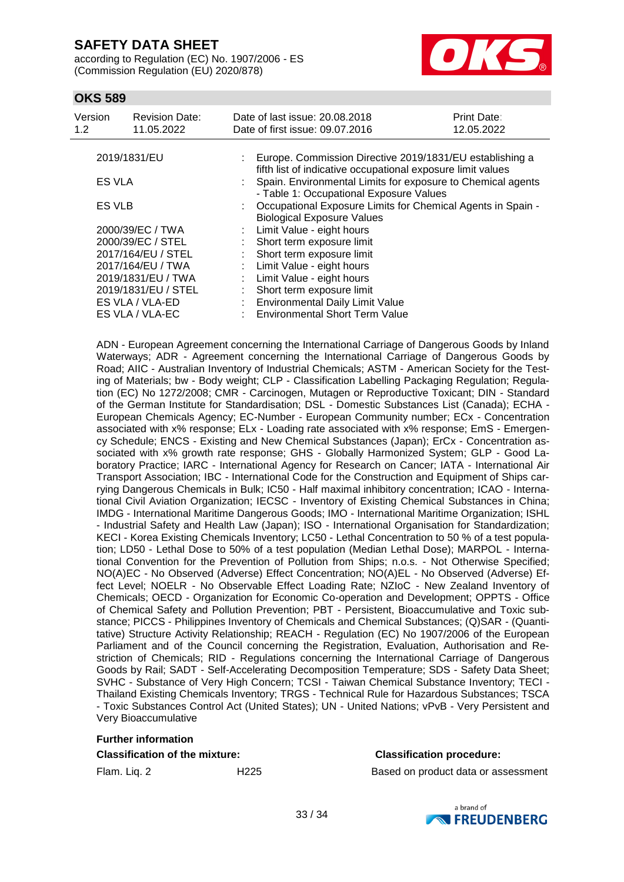according to Regulation (EC) No. 1907/2006 - ES (Commission Regulation (EU) 2020/878)



### **OKS 589**

| Version<br>1.2      | <b>Revision Date:</b><br>11.05.2022 |    | Date of last issue: 20.08.2018<br>Date of first issue: 09.07.2016                                                            | Print Date:<br>12.05.2022 |  |  |
|---------------------|-------------------------------------|----|------------------------------------------------------------------------------------------------------------------------------|---------------------------|--|--|
| 2019/1831/EU        |                                     | t. | Europe. Commission Directive 2019/1831/EU establishing a                                                                     |                           |  |  |
| ES VLA              |                                     |    | fifth list of indicative occupational exposure limit values<br>: Spain. Environmental Limits for exposure to Chemical agents |                           |  |  |
|                     |                                     |    | - Table 1: Occupational Exposure Values                                                                                      |                           |  |  |
|                     | ES VLB                              |    | Occupational Exposure Limits for Chemical Agents in Spain -                                                                  |                           |  |  |
|                     |                                     |    | <b>Biological Exposure Values</b>                                                                                            |                           |  |  |
|                     | 2000/39/EC / TWA                    |    | Limit Value - eight hours                                                                                                    |                           |  |  |
|                     | 2000/39/EC / STEL                   |    | Short term exposure limit                                                                                                    |                           |  |  |
|                     | 2017/164/EU / STEL                  |    | Short term exposure limit                                                                                                    |                           |  |  |
|                     | 2017/164/EU / TWA                   |    | Limit Value - eight hours                                                                                                    |                           |  |  |
| 2019/1831/EU / TWA  |                                     | t. | Limit Value - eight hours                                                                                                    |                           |  |  |
| 2019/1831/EU / STEL |                                     |    | Short term exposure limit                                                                                                    |                           |  |  |
| ES VLA / VLA-ED     |                                     |    | <b>Environmental Daily Limit Value</b>                                                                                       |                           |  |  |
| ES VLA / VLA-EC     |                                     |    | <b>Environmental Short Term Value</b>                                                                                        |                           |  |  |

ADN - European Agreement concerning the International Carriage of Dangerous Goods by Inland Waterways; ADR - Agreement concerning the International Carriage of Dangerous Goods by Road; AIIC - Australian Inventory of Industrial Chemicals; ASTM - American Society for the Testing of Materials; bw - Body weight; CLP - Classification Labelling Packaging Regulation; Regulation (EC) No 1272/2008; CMR - Carcinogen, Mutagen or Reproductive Toxicant; DIN - Standard of the German Institute for Standardisation; DSL - Domestic Substances List (Canada); ECHA - European Chemicals Agency; EC-Number - European Community number; ECx - Concentration associated with x% response; ELx - Loading rate associated with x% response; EmS - Emergency Schedule; ENCS - Existing and New Chemical Substances (Japan); ErCx - Concentration associated with x% growth rate response; GHS - Globally Harmonized System; GLP - Good Laboratory Practice; IARC - International Agency for Research on Cancer; IATA - International Air Transport Association; IBC - International Code for the Construction and Equipment of Ships carrying Dangerous Chemicals in Bulk; IC50 - Half maximal inhibitory concentration; ICAO - International Civil Aviation Organization; IECSC - Inventory of Existing Chemical Substances in China; IMDG - International Maritime Dangerous Goods; IMO - International Maritime Organization; ISHL - Industrial Safety and Health Law (Japan); ISO - International Organisation for Standardization; KECI - Korea Existing Chemicals Inventory; LC50 - Lethal Concentration to 50 % of a test population; LD50 - Lethal Dose to 50% of a test population (Median Lethal Dose); MARPOL - International Convention for the Prevention of Pollution from Ships; n.o.s. - Not Otherwise Specified; NO(A)EC - No Observed (Adverse) Effect Concentration; NO(A)EL - No Observed (Adverse) Effect Level; NOELR - No Observable Effect Loading Rate; NZIoC - New Zealand Inventory of Chemicals; OECD - Organization for Economic Co-operation and Development; OPPTS - Office of Chemical Safety and Pollution Prevention; PBT - Persistent, Bioaccumulative and Toxic substance; PICCS - Philippines Inventory of Chemicals and Chemical Substances; (Q)SAR - (Quantitative) Structure Activity Relationship; REACH - Regulation (EC) No 1907/2006 of the European Parliament and of the Council concerning the Registration, Evaluation, Authorisation and Restriction of Chemicals; RID - Regulations concerning the International Carriage of Dangerous Goods by Rail; SADT - Self-Accelerating Decomposition Temperature; SDS - Safety Data Sheet; SVHC - Substance of Very High Concern; TCSI - Taiwan Chemical Substance Inventory; TECI - Thailand Existing Chemicals Inventory; TRGS - Technical Rule for Hazardous Substances; TSCA - Toxic Substances Control Act (United States); UN - United Nations; vPvB - Very Persistent and Very Bioaccumulative

#### **Further information**

#### **Classification of the mixture: Classification procedure:**

Flam. Liq. 2 H225 Based on product data or assessment